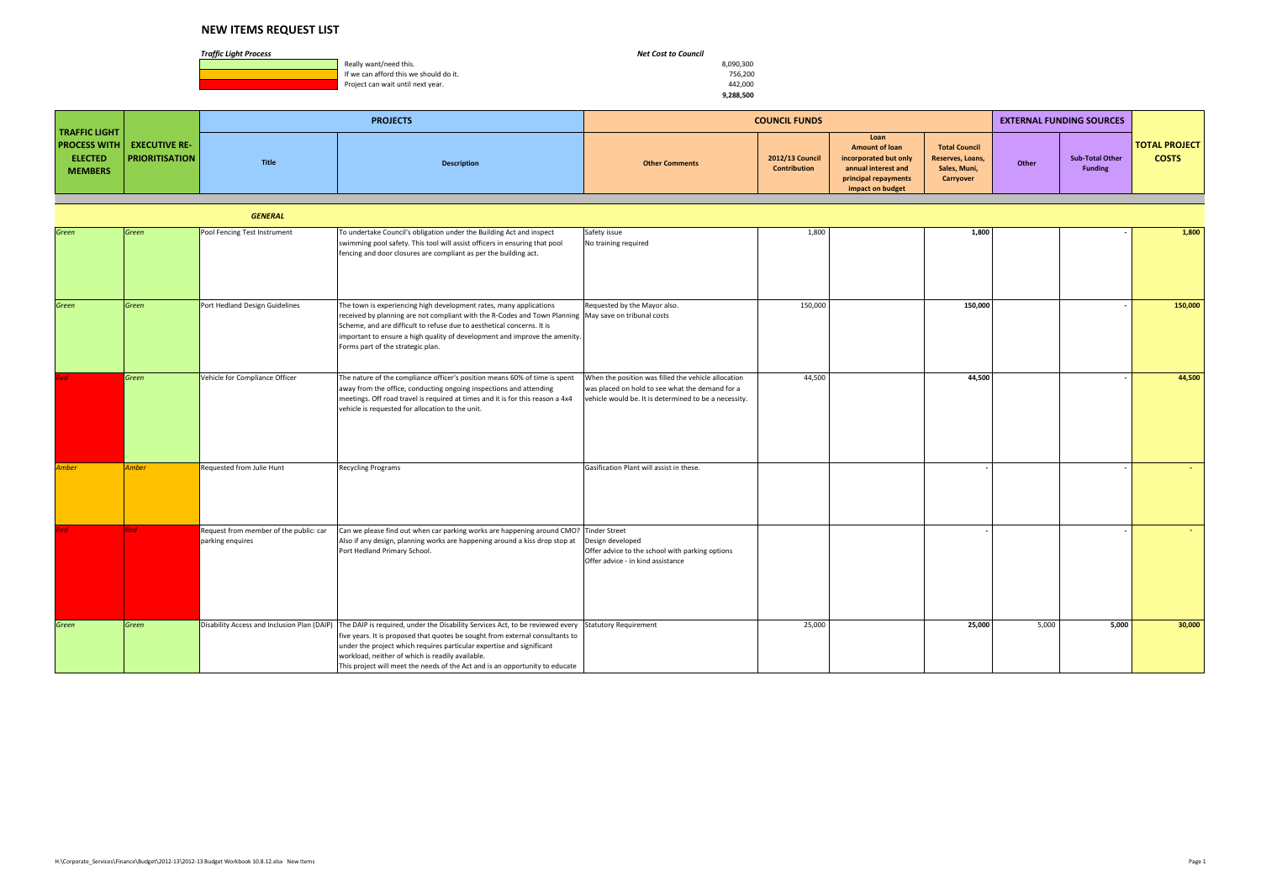*Traffic Light Process Net Cost to Council*

**1990, Really want/need this.** 8,090,300<br> **If we can afford this we should do it.** All the state of the state of the state of the state of the state of the state of the state of the state of the state of the state of the s If we can afford this we should do it. The state of the state of the state of the state of the state of the state of the state of the state of the state of the state of the state of the state of the state of the state of t Project can wait until next year.

 **9,288,500**

|                                                                                               |                       |       | <b>PROJECTS</b>    |                       | <b>COUNCIL FUNDS</b>            |                                                                                                                           |                                                                       |       | EXTERNAL FUNDING SOURCES                 |                                      |
|-----------------------------------------------------------------------------------------------|-----------------------|-------|--------------------|-----------------------|---------------------------------|---------------------------------------------------------------------------------------------------------------------------|-----------------------------------------------------------------------|-------|------------------------------------------|--------------------------------------|
| <b>TRAFFIC LIGHT</b><br><b>PROCESS WITH EXECUTIVE RE-</b><br><b>ELECTED</b><br><b>MEMBERS</b> | <b>PRIORITISATION</b> | Title | <b>Description</b> | <b>Other Comments</b> | 2012/13 Council<br>Contribution | Loan<br><b>Amount of loan</b><br>incorporated but only<br>annual interest and<br>principal repayments<br>impact on budget | <b>Total Council</b><br>Reserves, Loans,<br>Sales, Muni,<br>Carryover | Other | <b>Sub-Total Other</b><br><b>Funding</b> | <b>TOTAL PROJECT</b><br><b>COSTS</b> |

|              |              | <b>GENERAL</b>                                             |                                                                                                                                                                                                                                                                                                                                                                             |                                                                                                                                                                           |                 |       |         |
|--------------|--------------|------------------------------------------------------------|-----------------------------------------------------------------------------------------------------------------------------------------------------------------------------------------------------------------------------------------------------------------------------------------------------------------------------------------------------------------------------|---------------------------------------------------------------------------------------------------------------------------------------------------------------------------|-----------------|-------|---------|
| Green        | Green        | Pool Fencing Test Instrument                               | To undertake Council's obligation under the Building Act and inspect<br>swimming pool safety. This tool will assist officers in ensuring that pool<br>fencing and door closures are compliant as per the building act.                                                                                                                                                      | Safety issue<br>1,800<br>No training required                                                                                                                             | 1,800           |       | 1,800   |
| Green        | Green        | Port Hedland Design Guidelines                             | The town is experiencing high development rates, many applications<br>received by planning are not compliant with the R-Codes and Town Planning   May save on tribunal costs<br>Scheme, and are difficult to refuse due to aesthetical concerns. It is<br>important to ensure a high quality of development and improve the amenity.<br>Forms part of the strategic plan.   | Requested by the Mayor also.<br>150,000                                                                                                                                   | 150,000         |       | 150,000 |
| Red          | Green        | Vehicle for Compliance Officer                             | The nature of the compliance officer's position means 60% of time is spent<br>away from the office, conducting ongoing inspections and attending<br>meetings. Off road travel is required at times and it is for this reason a 4x4<br>vehicle is requested for allocation to the unit.                                                                                      | 44,500<br>When the position was filled the vehicle allocation<br>was placed on hold to see what the demand for a<br>vehicle would be. It is determined to be a necessity. | 44,500          |       | 44,500  |
| <b>Amber</b> | <b>Amber</b> | Requested from Julie Hunt                                  | <b>Recycling Programs</b>                                                                                                                                                                                                                                                                                                                                                   | Gasification Plant will assist in these.                                                                                                                                  |                 |       |         |
| Red          | Red          | Request from member of the public: car<br>parking enquires | Can we please find out when car parking works are happening around CMO? Tinder Street<br>Also if any design, planning works are happening around a kiss drop stop at<br>Port Hedland Primary School.                                                                                                                                                                        | Design developed<br>Offer advice to the school with parking options<br>Offer advice - in kind assistance                                                                  |                 |       |         |
| Green        | Green        | Disability Access and Inclusion Plan (DAIP)                | The DAIP is required, under the Disability Services Act, to be reviewed every<br>five years. It is proposed that quotes be sought from external consultants to<br>under the project which requires particular expertise and significant<br>workload, neither of which is readily available.<br>This project will meet the needs of the Act and is an opportunity to educate | 25,000<br><b>Statutory Requirement</b>                                                                                                                                    | 25,000<br>5,000 | 5,000 | 30,000  |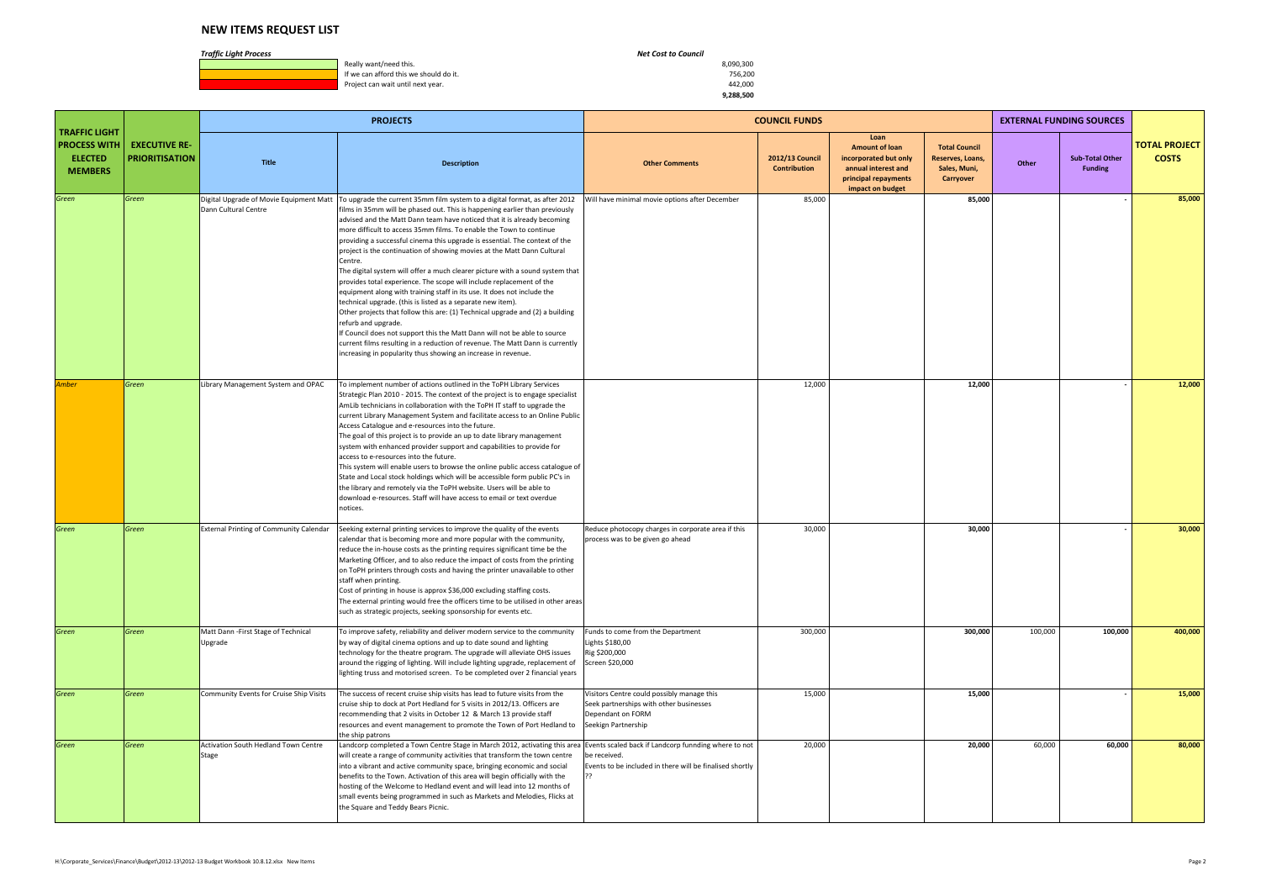**1990, Really want/need this.** 8,090,300<br> **If we can afford this we should do it.** All the state of the state of the state of the state of the state of the state of the state of the state of the state of the state of the s If we can afford this we should do it. The state of the state of the state of the state of the state of the state of the state of the state of the state of the state of the state of the state of the state of the state of t Project can wait until next year.

|                                                                                 |                                               |                                                                 | <b>PROJECTS</b>                                                                                                                                                                                                                                                                                                                                                                                                                                                                                                                                                                                                                                                                                                                                                                                                                                                                                                                                                                                                                                                                                                           |                                                                                                                                   | <b>COUNCIL FUNDS</b>                   |                                                                                                                           |                                                                       |         | <b>EXTERNAL FUNDING SOURCES</b>          |                                      |
|---------------------------------------------------------------------------------|-----------------------------------------------|-----------------------------------------------------------------|---------------------------------------------------------------------------------------------------------------------------------------------------------------------------------------------------------------------------------------------------------------------------------------------------------------------------------------------------------------------------------------------------------------------------------------------------------------------------------------------------------------------------------------------------------------------------------------------------------------------------------------------------------------------------------------------------------------------------------------------------------------------------------------------------------------------------------------------------------------------------------------------------------------------------------------------------------------------------------------------------------------------------------------------------------------------------------------------------------------------------|-----------------------------------------------------------------------------------------------------------------------------------|----------------------------------------|---------------------------------------------------------------------------------------------------------------------------|-----------------------------------------------------------------------|---------|------------------------------------------|--------------------------------------|
| <b>TRAFFIC LIGHT</b><br><b>PROCESS WITH</b><br><b>ELECTED</b><br><b>MEMBERS</b> | <b>EXECUTIVE RE-</b><br><b>PRIORITISATION</b> | Title                                                           | <b>Description</b>                                                                                                                                                                                                                                                                                                                                                                                                                                                                                                                                                                                                                                                                                                                                                                                                                                                                                                                                                                                                                                                                                                        | <b>Other Comments</b>                                                                                                             | 2012/13 Council<br><b>Contribution</b> | Loan<br><b>Amount of loan</b><br>incorporated but only<br>annual interest and<br>principal repayments<br>impact on budget | <b>Total Council</b><br>Reserves, Loans,<br>Sales, Muni,<br>Carryover | Other   | <b>Sub-Total Other</b><br><b>Funding</b> | <b>TOTAL PROJECT</b><br><b>COSTS</b> |
| Green                                                                           | Green                                         | Digital Upgrade of Movie Equipment Matt<br>Dann Cultural Centre | To upgrade the current 35mm film system to a digital format, as after 2012<br>films in 35mm will be phased out. This is happening earlier than previously<br>advised and the Matt Dann team have noticed that it is already becoming<br>more difficult to access 35mm films. To enable the Town to continue<br>providing a successful cinema this upgrade is essential. The context of the<br>project is the continuation of showing movies at the Matt Dann Cultural<br>Centre.<br>The digital system will offer a much clearer picture with a sound system that<br>provides total experience. The scope will include replacement of the<br>equipment along with training staff in its use. It does not include the<br>technical upgrade. (this is listed as a separate new item).<br>Other projects that follow this are: (1) Technical upgrade and (2) a building<br>refurb and upgrade.<br>f Council does not support this the Matt Dann will not be able to source<br>current films resulting in a reduction of revenue. The Matt Dann is currently<br>increasing in popularity thus showing an increase in revenue. | Will have minimal movie options after December                                                                                    | 85,000                                 |                                                                                                                           | 85,000                                                                |         |                                          | 85,000                               |
| Amber                                                                           | Green                                         | Library Management System and OPAC                              | To implement number of actions outlined in the ToPH Library Services<br>Strategic Plan 2010 - 2015. The context of the project is to engage specialist<br>AmLib technicians in collaboration with the ToPH IT staff to upgrade the<br>current Library Management System and facilitate access to an Online Public<br>Access Catalogue and e-resources into the future.<br>The goal of this project is to provide an up to date library management<br>system with enhanced provider support and capabilities to provide for<br>access to e-resources into the future.<br>This system will enable users to browse the online public access catalogue of<br>State and Local stock holdings which will be accessible form public PC's in<br>the library and remotely via the ToPH website. Users will be able to<br>download e-resources. Staff will have access to email or text overdue<br>notices.                                                                                                                                                                                                                         |                                                                                                                                   | 12,000                                 |                                                                                                                           | 12,000                                                                |         |                                          | 12,000                               |
| Green                                                                           | Green                                         | <b>External Printing of Community Calendar</b>                  | Seeking external printing services to improve the quality of the events<br>calendar that is becoming more and more popular with the community,<br>reduce the in-house costs as the printing requires significant time be the<br>Marketing Officer, and to also reduce the impact of costs from the printing<br>on ToPH printers through costs and having the printer unavailable to other<br>staff when printing.<br>Cost of printing in house is approx \$36,000 excluding staffing costs.<br>The external printing would free the officers time to be utilised in other areas<br>such as strategic projects, seeking sponsorship for events etc.                                                                                                                                                                                                                                                                                                                                                                                                                                                                        | Reduce photocopy charges in corporate area if this<br>process was to be given go ahead                                            | 30,000                                 |                                                                                                                           | 30,000                                                                |         |                                          | 30,000                               |
| Green                                                                           | Green                                         | Matt Dann - First Stage of Technical<br>Upgrade                 | To improve safety, reliability and deliver modern service to the community<br>by way of digital cinema options and up to date sound and lighting<br>technology for the theatre program. The upgrade will alleviate OHS issues<br>around the rigging of lighting. Will include lighting upgrade, replacement of<br>ighting truss and motorised screen. To be completed over 2 financial years                                                                                                                                                                                                                                                                                                                                                                                                                                                                                                                                                                                                                                                                                                                              | Funds to come from the Department<br>Lights \$180,00<br>Rig \$200,000<br>Screen \$20,000                                          | 300,000                                |                                                                                                                           | 300,000                                                               | 100,000 | 100,000                                  | 400,000                              |
| Green                                                                           | Green                                         | Community Events for Cruise Ship Visits                         | The success of recent cruise ship visits has lead to future visits from the<br>cruise ship to dock at Port Hedland for 5 visits in 2012/13. Officers are<br>recommending that 2 visits in October 12 & March 13 provide staff<br>resources and event management to promote the Town of Port Hedland to<br>the ship patrons                                                                                                                                                                                                                                                                                                                                                                                                                                                                                                                                                                                                                                                                                                                                                                                                | Visitors Centre could possibly manage this<br>Seek partnerships with other businesses<br>Dependant on FORM<br>Seekign Partnership | 15,000                                 |                                                                                                                           | 15,000                                                                |         |                                          | 15,000                               |
| Green                                                                           | Green                                         | Activation South Hedland Town Centre<br>Stage                   | Landcorp completed a Town Centre Stage in March 2012, activating this area<br>will create a range of community activities that transform the town centre<br>into a vibrant and active community space, bringing economic and social<br>benefits to the Town. Activation of this area will begin officially with the<br>hosting of the Welcome to Hedland event and will lead into 12 months of<br>small events being programmed in such as Markets and Melodies, Flicks at<br>the Square and Teddy Bears Picnic.                                                                                                                                                                                                                                                                                                                                                                                                                                                                                                                                                                                                          | Events scaled back if Landcorp funnding where to not<br>be received.<br>Events to be included in there will be finalised shortly  | 20,000                                 |                                                                                                                           | 20,000                                                                | 60,000  | 60,000                                   | 80,000                               |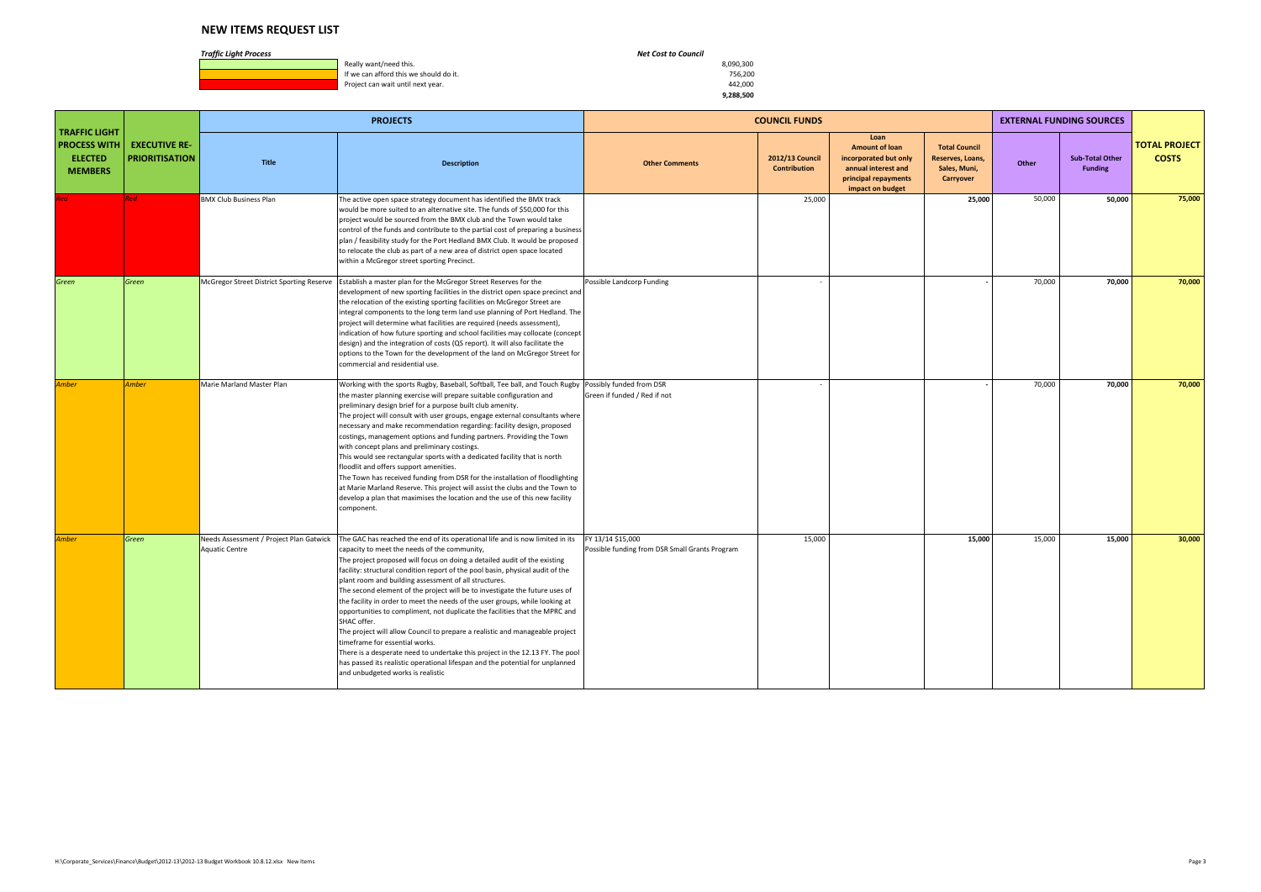**1990, Really want/need this.** 8,090,300<br> **If we can afford this we should do it.** All the state of the state of the state of the state of the state of the state of the state of the state of the state of the state of the s If we can afford this we should do it. The state of the state of the state of the state of the state of the state of the state of the state of the state of the state of the state of the state of the state of the state of t Project can wait until next year.

|                                                                                 |                                               |                                                                  | <b>PROJECTS</b>                                                                                                                                                                                                                                                                                                                                                                                                                                                                                                                                                                                                                                                                                                                                                                                                                                                                                                                             |                                                                     | <b>COUNCIL FUNDS</b>                   |                                                                                                                           |                                                                       |        | <b>EXTERNAL FUNDING SOURCES</b>          |                                      |
|---------------------------------------------------------------------------------|-----------------------------------------------|------------------------------------------------------------------|---------------------------------------------------------------------------------------------------------------------------------------------------------------------------------------------------------------------------------------------------------------------------------------------------------------------------------------------------------------------------------------------------------------------------------------------------------------------------------------------------------------------------------------------------------------------------------------------------------------------------------------------------------------------------------------------------------------------------------------------------------------------------------------------------------------------------------------------------------------------------------------------------------------------------------------------|---------------------------------------------------------------------|----------------------------------------|---------------------------------------------------------------------------------------------------------------------------|-----------------------------------------------------------------------|--------|------------------------------------------|--------------------------------------|
| <b>TRAFFIC LIGHT</b><br><b>PROCESS WITH</b><br><b>ELECTED</b><br><b>MEMBERS</b> | <b>EXECUTIVE RE-</b><br><b>PRIORITISATION</b> | <b>Title</b>                                                     | <b>Description</b>                                                                                                                                                                                                                                                                                                                                                                                                                                                                                                                                                                                                                                                                                                                                                                                                                                                                                                                          | <b>Other Comments</b>                                               | 2012/13 Council<br><b>Contribution</b> | Loan<br><b>Amount of loan</b><br>incorporated but only<br>annual interest and<br>principal repayments<br>impact on budget | <b>Total Council</b><br>Reserves, Loans,<br>Sales, Muni,<br>Carryover | Other  | <b>Sub-Total Other</b><br><b>Funding</b> | <b>TOTAL PROJECT</b><br><b>COSTS</b> |
|                                                                                 | <b>Red</b>                                    | <b>BMX Club Business Plan</b>                                    | The active open space strategy document has identified the BMX track<br>would be more suited to an alternative site. The funds of \$50,000 for this<br>project would be sourced from the BMX club and the Town would take<br>control of the funds and contribute to the partial cost of preparing a business<br>plan / feasibility study for the Port Hedland BMX Club. It would be proposed<br>to relocate the club as part of a new area of district open space located<br>within a McGregor street sporting Precinct.                                                                                                                                                                                                                                                                                                                                                                                                                    |                                                                     | 25,000                                 |                                                                                                                           | 25,000                                                                | 50,000 | 50,000                                   | 75,000                               |
| Green                                                                           | Green                                         | McGregor Street District Sporting Reserve                        | Establish a master plan for the McGregor Street Reserves for the<br>development of new sporting facilities in the district open space precinct and<br>the relocation of the existing sporting facilities on McGregor Street are<br>ntegral components to the long term land use planning of Port Hedland. The<br>project will determine what facilities are required (needs assessment),<br>indication of how future sporting and school facilities may collocate (concept<br>design) and the integration of costs (QS report). It will also facilitate the<br>options to the Town for the development of the land on McGregor Street for<br>commercial and residential use.                                                                                                                                                                                                                                                                | Possible Landcorp Funding                                           |                                        |                                                                                                                           |                                                                       | 70,000 | 70,000                                   | 70,000                               |
| <b>Amber</b>                                                                    | <b>Amber</b>                                  | Marie Marland Master Plan                                        | Working with the sports Rugby, Baseball, Softball, Tee ball, and Touch Rugby Possibly funded from DSR<br>the master planning exercise will prepare suitable configuration and<br>preliminary design brief for a purpose built club amenity.<br>The project will consult with user groups, engage external consultants where<br>necessary and make recommendation regarding: facility design, proposed<br>costings, management options and funding partners. Providing the Town<br>with concept plans and preliminary costings.<br>This would see rectangular sports with a dedicated facility that is north<br>floodlit and offers support amenities.<br>The Town has received funding from DSR for the installation of floodlighting<br>at Marie Marland Reserve. This project will assist the clubs and the Town to<br>develop a plan that maximises the location and the use of this new facility<br>component.                          | Green if funded / Red if not                                        |                                        |                                                                                                                           |                                                                       | 70,000 | 70,000                                   | 70,000                               |
| Amber                                                                           | Green                                         | Needs Assessment / Project Plan Gatwick<br><b>Aquatic Centre</b> | The GAC has reached the end of its operational life and is now limited in its<br>capacity to meet the needs of the community,<br>The project proposed will focus on doing a detailed audit of the existing<br>facility: structural condition report of the pool basin, physical audit of the<br>plant room and building assessment of all structures.<br>The second element of the project will be to investigate the future uses of<br>the facility in order to meet the needs of the user groups, while looking at<br>opportunities to compliment, not duplicate the facilities that the MPRC and<br>SHAC offer.<br>The project will allow Council to prepare a realistic and manageable project<br>timeframe for essential works.<br>There is a desperate need to undertake this project in the 12.13 FY. The pool<br>has passed its realistic operational lifespan and the potential for unplanned<br>and unbudgeted works is realistic | FY 13/14 \$15,000<br>Possible funding from DSR Small Grants Program | 15,000                                 |                                                                                                                           | 15,000                                                                | 15,000 | 15,000                                   | 30,000                               |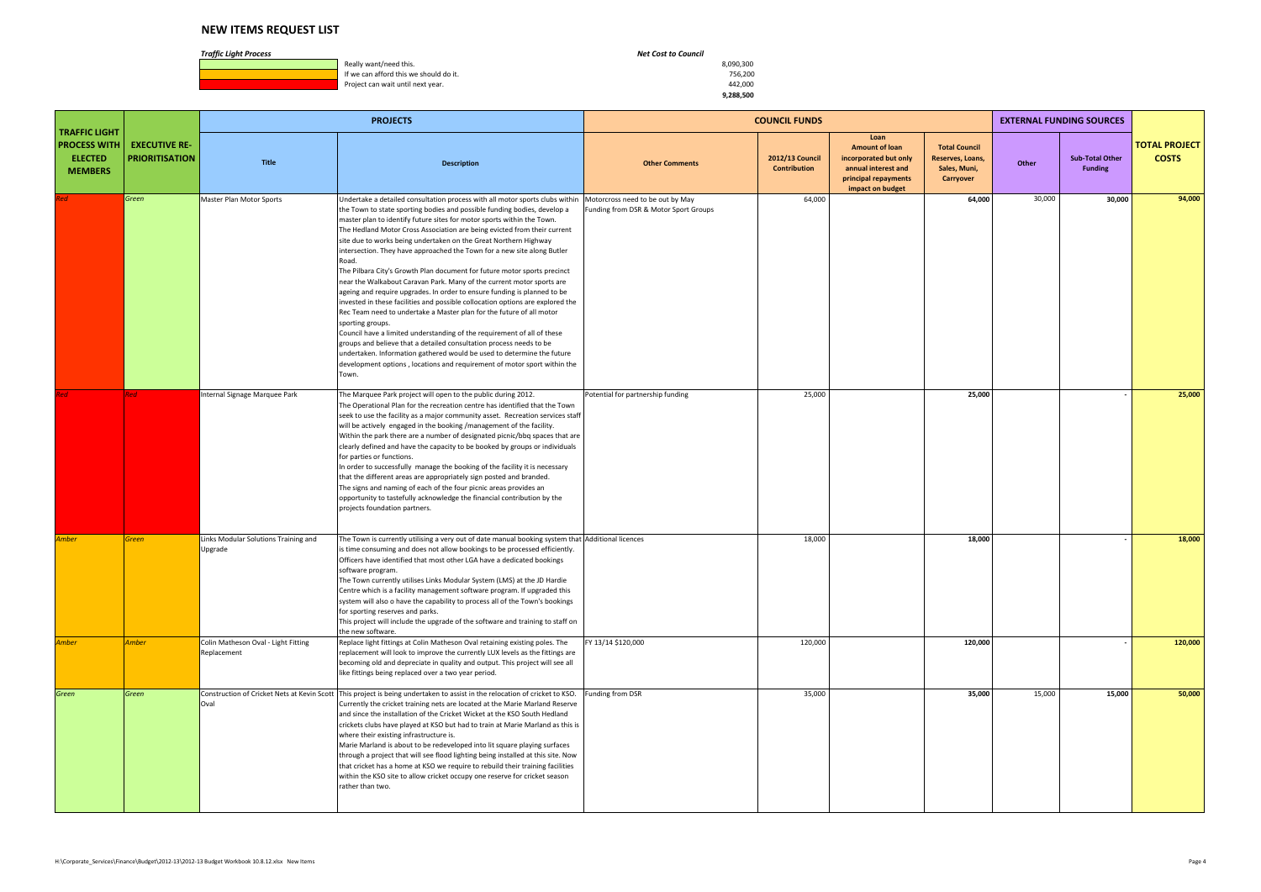#### *Traffic Light Process Net Cost to Council*

**1990, Really want/need this.** 8,090,300<br> **If we can afford this we should do it.** All the state of the state of the state of the state of the state of the state of the state of the state of the state of the state of the s If we can afford this we should do it. The state of the state of the state of the state of the state of the state of the state of the state of the state of the state of the state of the state of the state of the state of t Project can wait until next year.

 **9,288,500**

|                                                                                 |                                               |                                                     | <b>PROJECTS</b>                                                                                                                                                                                                                                                                                                                                                                                                                                                                                                                                                                                                                                                                                                                                                                                                                                                                                                                                                                                                                                                                                                                                                                                        |                                                                           | <b>COUNCIL FUNDS</b>                   |                                                                                                                           |                                                                       |        | <b>EXTERNAL FUNDING SOURCES</b>          |                                      |
|---------------------------------------------------------------------------------|-----------------------------------------------|-----------------------------------------------------|--------------------------------------------------------------------------------------------------------------------------------------------------------------------------------------------------------------------------------------------------------------------------------------------------------------------------------------------------------------------------------------------------------------------------------------------------------------------------------------------------------------------------------------------------------------------------------------------------------------------------------------------------------------------------------------------------------------------------------------------------------------------------------------------------------------------------------------------------------------------------------------------------------------------------------------------------------------------------------------------------------------------------------------------------------------------------------------------------------------------------------------------------------------------------------------------------------|---------------------------------------------------------------------------|----------------------------------------|---------------------------------------------------------------------------------------------------------------------------|-----------------------------------------------------------------------|--------|------------------------------------------|--------------------------------------|
| <b>TRAFFIC LIGHT</b><br><b>PROCESS WITH</b><br><b>ELECTED</b><br><b>MEMBERS</b> | <b>EXECUTIVE RE-</b><br><b>PRIORITISATION</b> | <b>Title</b>                                        | <b>Description</b>                                                                                                                                                                                                                                                                                                                                                                                                                                                                                                                                                                                                                                                                                                                                                                                                                                                                                                                                                                                                                                                                                                                                                                                     | <b>Other Comments</b>                                                     | 2012/13 Council<br><b>Contribution</b> | Loan<br><b>Amount of loan</b><br>incorporated but only<br>annual interest and<br>principal repayments<br>impact on budget | <b>Total Council</b><br>Reserves, Loans,<br>Sales, Muni,<br>Carryover | Other  | <b>Sub-Total Other</b><br><b>Funding</b> | <b>TOTAL PROJECT</b><br><b>COSTS</b> |
|                                                                                 | Green                                         | Master Plan Motor Sports                            | Undertake a detailed consultation process with all motor sports clubs within<br>the Town to state sporting bodies and possible funding bodies, develop a<br>master plan to identify future sites for motor sports within the Town.<br>The Hedland Motor Cross Association are being evicted from their current<br>site due to works being undertaken on the Great Northern Highway<br>intersection. They have approached the Town for a new site along Butler<br>₹oad.<br>The Pilbara City's Growth Plan document for future motor sports precinct<br>near the Walkabout Caravan Park. Many of the current motor sports are<br>ageing and require upgrades. In order to ensure funding is planned to be<br>invested in these facilities and possible collocation options are explored the<br>Rec Team need to undertake a Master plan for the future of all motor<br>sporting groups.<br>Council have a limited understanding of the requirement of all of these<br>groups and believe that a detailed consultation process needs to be<br>undertaken. Information gathered would be used to determine the future<br>development options, locations and requirement of motor sport within the<br>Town. | Motorcross need to be out by May<br>Funding from DSR & Motor Sport Groups | 64,000                                 |                                                                                                                           | 64,000                                                                | 30,000 | 30,000                                   | 94,000                               |
|                                                                                 | <b>Red</b>                                    | Internal Signage Marquee Park                       | The Marquee Park project will open to the public during 2012.<br>The Operational Plan for the recreation centre has identified that the Town<br>seek to use the facility as a major community asset. Recreation services staff<br>will be actively engaged in the booking /management of the facility.<br>Within the park there are a number of designated picnic/bbq spaces that are<br>clearly defined and have the capacity to be booked by groups or individuals<br>for parties or functions.<br>In order to successfully manage the booking of the facility it is necessary<br>that the different areas are appropriately sign posted and branded.<br>The signs and naming of each of the four picnic areas provides an<br>opportunity to tastefully acknowledge the financial contribution by the<br>projects foundation partners.                                                                                                                                                                                                                                                                                                                                                               | Potential for partnership funding                                         | 25,000                                 |                                                                                                                           | 25,000                                                                |        |                                          | 25,000                               |
| Amber                                                                           | <b>Green</b>                                  | Links Modular Solutions Training and<br>Upgrade     | The Town is currently utilising a very out of date manual booking system that Additional licences<br>s time consuming and does not allow bookings to be processed efficiently.<br>Officers have identified that most other LGA have a dedicated bookings<br>software program.<br>The Town currently utilises Links Modular System (LMS) at the JD Hardie<br>Centre which is a facility management software program. If upgraded this<br>system will also o have the capability to process all of the Town's bookings<br>for sporting reserves and parks.<br>This project will include the upgrade of the software and training to staff on<br>the new software.                                                                                                                                                                                                                                                                                                                                                                                                                                                                                                                                        |                                                                           | 18,000                                 |                                                                                                                           | 18,000                                                                |        |                                          | 18,000                               |
| Amber                                                                           | <b>Amber</b>                                  | Colin Matheson Oval - Light Fitting<br>Replacement  | Replace light fittings at Colin Matheson Oval retaining existing poles. The<br>replacement will look to improve the currently LUX levels as the fittings are<br>becoming old and depreciate in quality and output. This project will see all<br>like fittings being replaced over a two year period.                                                                                                                                                                                                                                                                                                                                                                                                                                                                                                                                                                                                                                                                                                                                                                                                                                                                                                   | FY 13/14 \$120,000                                                        | 120,000                                |                                                                                                                           | 120,000                                                               |        |                                          | 120,000                              |
| Green                                                                           | Green                                         | Construction of Cricket Nets at Kevin Scott<br>Oval | This project is being undertaken to assist in the relocation of cricket to KSO.<br>Currently the cricket training nets are located at the Marie Marland Reserve<br>and since the installation of the Cricket Wicket at the KSO South Hedland<br>crickets clubs have played at KSO but had to train at Marie Marland as this is<br>where their existing infrastructure is.<br>Marie Marland is about to be redeveloped into lit square playing surfaces<br>through a project that will see flood lighting being installed at this site. Now<br>that cricket has a home at KSO we require to rebuild their training facilities<br>within the KSO site to allow cricket occupy one reserve for cricket season<br>rather than two.                                                                                                                                                                                                                                                                                                                                                                                                                                                                         | Funding from DSR                                                          | 35,000                                 |                                                                                                                           | 35,000                                                                | 15,000 | 15,000                                   | 50,000                               |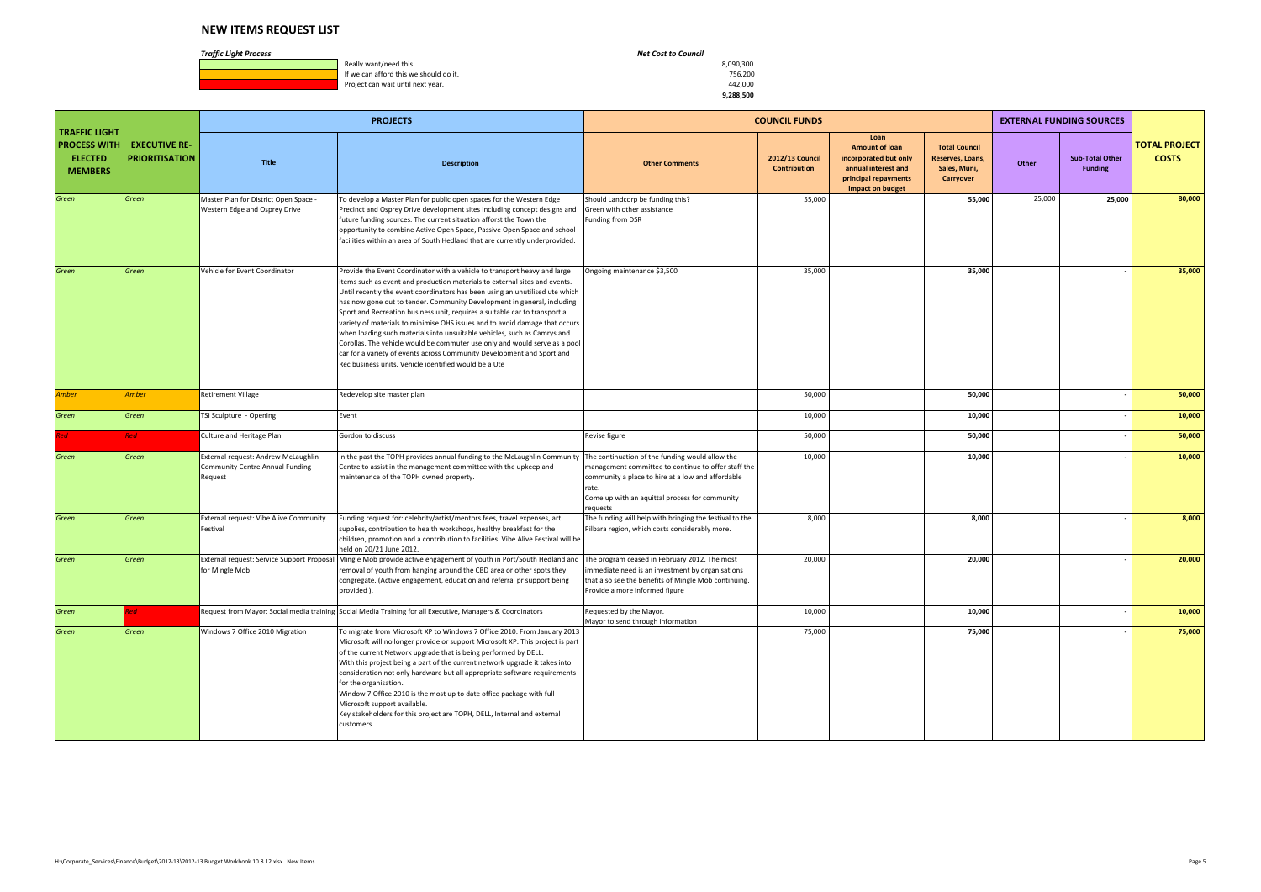**1990, Really want/need this.** 8,090,300<br> **If we can afford this we should do it.** All the state of the state of the state of the state of the state of the state of the state of the state of the state of the state of the s If we can afford this we should do it. The state of the state of the state of the state of the state of the state of the state of the state of the state of the state of the state of the state of the state of the state of t Project can wait until next year.

|                                                                                 |                                               |                                                                                   | <b>PROJECTS</b>                                                                                                                                                                                                                                                                                                                                                                                                                                                                                                                                                                                                                                                                                                                                                              |                                                                                                                                                                                                                                    | <b>COUNCIL FUNDS</b>                          |                                                                                                                           |                                                                       |        | <b>EXTERNAL FUNDING SOURCES</b>          |                                      |
|---------------------------------------------------------------------------------|-----------------------------------------------|-----------------------------------------------------------------------------------|------------------------------------------------------------------------------------------------------------------------------------------------------------------------------------------------------------------------------------------------------------------------------------------------------------------------------------------------------------------------------------------------------------------------------------------------------------------------------------------------------------------------------------------------------------------------------------------------------------------------------------------------------------------------------------------------------------------------------------------------------------------------------|------------------------------------------------------------------------------------------------------------------------------------------------------------------------------------------------------------------------------------|-----------------------------------------------|---------------------------------------------------------------------------------------------------------------------------|-----------------------------------------------------------------------|--------|------------------------------------------|--------------------------------------|
| <b>TRAFFIC LIGHT</b><br><b>PROCESS WITH</b><br><b>ELECTED</b><br><b>MEMBERS</b> | <b>EXECUTIVE RE-</b><br><b>PRIORITISATION</b> | <b>Title</b>                                                                      | <b>Description</b>                                                                                                                                                                                                                                                                                                                                                                                                                                                                                                                                                                                                                                                                                                                                                           | <b>Other Comments</b>                                                                                                                                                                                                              | <b>2012/13 Council</b><br><b>Contribution</b> | Loan<br><b>Amount of loan</b><br>incorporated but only<br>annual interest and<br>principal repayments<br>impact on budget | <b>Total Council</b><br>Reserves, Loans,<br>Sales, Muni,<br>Carryover | Other  | <b>Sub-Total Other</b><br><b>Funding</b> | <b>TOTAL PROJECT</b><br><b>COSTS</b> |
| Green                                                                           | Green                                         | Master Plan for District Open Space<br>Western Edge and Osprey Drive              | To develop a Master Plan for public open spaces for the Western Edge<br>Precinct and Osprey Drive development sites including concept designs and<br>future funding sources. The current situation afforst the Town the<br>opportunity to combine Active Open Space, Passive Open Space and school<br>facilities within an area of South Hedland that are currently underprovided.                                                                                                                                                                                                                                                                                                                                                                                           | Should Landcorp be funding this?<br>Green with other assistance<br>Funding from DSR                                                                                                                                                | 55,000                                        |                                                                                                                           | 55,000                                                                | 25,000 | 25,000                                   | 80,000                               |
| Green                                                                           | Green                                         | Vehicle for Event Coordinator                                                     | Provide the Event Coordinator with a vehicle to transport heavy and large<br>items such as event and production materials to external sites and events.<br>Until recently the event coordinators has been using an unutilised ute which<br>has now gone out to tender. Community Development in general, including<br>Sport and Recreation business unit, requires a suitable car to transport a<br>variety of materials to minimise OHS issues and to avoid damage that occurs<br>when loading such materials into unsuitable vehicles, such as Camrys and<br>Corollas. The vehicle would be commuter use only and would serve as a pool<br>car for a variety of events across Community Development and Sport and<br>Rec business units. Vehicle identified would be a Ute | Ongoing maintenance \$3,500                                                                                                                                                                                                        | 35,000                                        |                                                                                                                           | 35,000                                                                |        |                                          | 35,000                               |
| Amber                                                                           | <b>Amber</b>                                  | <b>Retirement Village</b>                                                         | Redevelop site master plan                                                                                                                                                                                                                                                                                                                                                                                                                                                                                                                                                                                                                                                                                                                                                   |                                                                                                                                                                                                                                    | 50,000                                        |                                                                                                                           | 50,000                                                                |        |                                          | 50,000                               |
| Green                                                                           | Green                                         | TSI Sculpture - Opening                                                           | Event                                                                                                                                                                                                                                                                                                                                                                                                                                                                                                                                                                                                                                                                                                                                                                        |                                                                                                                                                                                                                                    | 10,000                                        |                                                                                                                           | 10,000                                                                |        |                                          | 10,000                               |
| <b>Red</b>                                                                      | ?ed                                           | Culture and Heritage Plan                                                         | Gordon to discuss                                                                                                                                                                                                                                                                                                                                                                                                                                                                                                                                                                                                                                                                                                                                                            | Revise figure                                                                                                                                                                                                                      | 50,000                                        |                                                                                                                           | 50,000                                                                |        |                                          | 50,000                               |
| Green                                                                           | Green                                         | External request: Andrew McLaughlin<br>Community Centre Annual Funding<br>Request | n the past the TOPH provides annual funding to the McLaughlin Community<br>Centre to assist in the management committee with the upkeep and<br>maintenance of the TOPH owned property.                                                                                                                                                                                                                                                                                                                                                                                                                                                                                                                                                                                       | The continuation of the funding would allow the<br>management committee to continue to offer staff the<br>community a place to hire at a low and affordable<br>rate.<br>Come up with an aquittal process for community<br>requests | 10,000                                        |                                                                                                                           | 10,000                                                                |        |                                          | 10,000                               |
| Green                                                                           | Green                                         | External request: Vibe Alive Community<br>Festival                                | Funding request for: celebrity/artist/mentors fees, travel expenses, art<br>supplies, contribution to health workshops, healthy breakfast for the<br>children, promotion and a contribution to facilities. Vibe Alive Festival will be<br>held on 20/21 June 2012.                                                                                                                                                                                                                                                                                                                                                                                                                                                                                                           | The funding will help with bringing the festival to the<br>Pilbara region, which costs considerably more.                                                                                                                          | 8,000                                         |                                                                                                                           | 8,000                                                                 |        |                                          | 8,000                                |
| Green                                                                           | Green                                         | External request: Service Support Proposal<br>for Mingle Mob                      | Mingle Mob provide active engagement of youth in Port/South Hedland and<br>removal of youth from hanging around the CBD area or other spots they<br>congregate. (Active engagement, education and referral pr support being<br>provided).                                                                                                                                                                                                                                                                                                                                                                                                                                                                                                                                    | The program ceased in February 2012. The most<br>immediate need is an investment by organisations<br>that also see the benefits of Mingle Mob continuing.<br>Provide a more informed figure                                        | 20,000                                        |                                                                                                                           | 20,000                                                                |        |                                          | 20,000                               |
| Green                                                                           | ed                                            |                                                                                   | Request from Mayor: Social media training Social Media Training for all Executive, Managers & Coordinators                                                                                                                                                                                                                                                                                                                                                                                                                                                                                                                                                                                                                                                                   | Requested by the Mayor.<br>Mayor to send through information                                                                                                                                                                       | 10,000                                        |                                                                                                                           | 10,000                                                                |        |                                          | 10,000                               |
| Green                                                                           | Green                                         | Windows 7 Office 2010 Migration                                                   | To migrate from Microsoft XP to Windows 7 Office 2010. From January 2013<br>Microsoft will no longer provide or support Microsoft XP. This project is part<br>of the current Network upgrade that is being performed by DELL.<br>With this project being a part of the current network upgrade it takes into<br>consideration not only hardware but all appropriate software requirements<br>for the organisation.<br>Window 7 Office 2010 is the most up to date office package with full<br>Microsoft support available.<br>Key stakeholders for this project are TOPH, DELL, Internal and external<br>customers.                                                                                                                                                          |                                                                                                                                                                                                                                    | 75,000                                        |                                                                                                                           | 75,000                                                                |        |                                          | 75,000                               |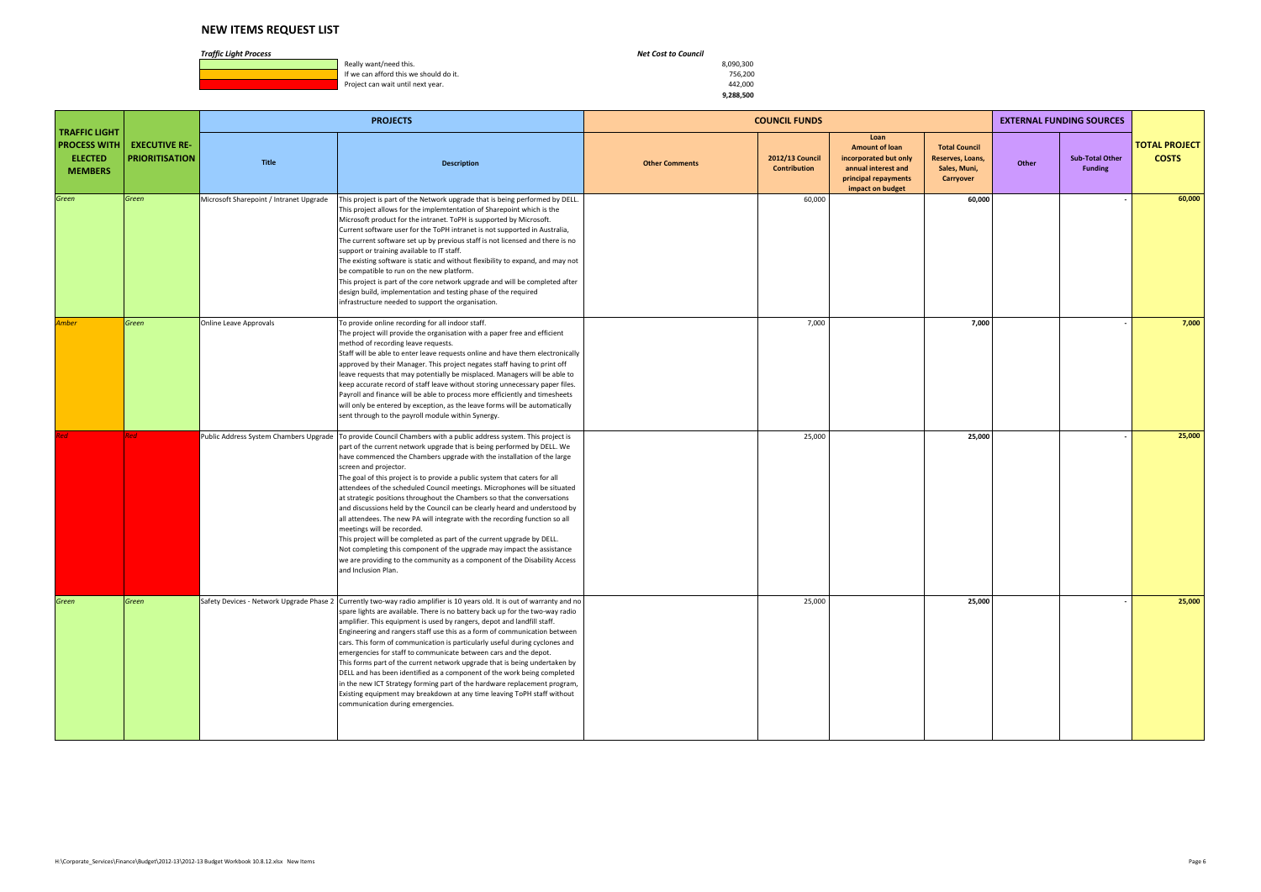**1990, Really want/need this.** 8,090,300<br> **If we can afford this we should do it.** All the state of the state of the state of the state of the state of the state of the state of the state of the state of the state of the s If we can afford this we should do it. The state of the state of the state of the state of the state of the state of the state of the state of the state of the state of the state of the state of the state of the state of t Project can wait until next year.

|                                                                                 |                                               |                                         | <b>PROJECTS</b>                                                                                                                                                                                                                                                                                                                                                                                                                                                                                                                                                                                                                                                                                                                                                                                                                                                                                                                                   |                       | <b>COUNCIL FUNDS</b>                   |                                                                                                                           |                                                                       |       | <b>EXTERNAL FUNDING SOURCES</b>          |                                      |
|---------------------------------------------------------------------------------|-----------------------------------------------|-----------------------------------------|---------------------------------------------------------------------------------------------------------------------------------------------------------------------------------------------------------------------------------------------------------------------------------------------------------------------------------------------------------------------------------------------------------------------------------------------------------------------------------------------------------------------------------------------------------------------------------------------------------------------------------------------------------------------------------------------------------------------------------------------------------------------------------------------------------------------------------------------------------------------------------------------------------------------------------------------------|-----------------------|----------------------------------------|---------------------------------------------------------------------------------------------------------------------------|-----------------------------------------------------------------------|-------|------------------------------------------|--------------------------------------|
| <b>TRAFFIC LIGHT</b><br><b>PROCESS WITH</b><br><b>ELECTED</b><br><b>MEMBERS</b> | <b>EXECUTIVE RE-</b><br><b>PRIORITISATION</b> | <b>Title</b>                            | <b>Description</b>                                                                                                                                                                                                                                                                                                                                                                                                                                                                                                                                                                                                                                                                                                                                                                                                                                                                                                                                | <b>Other Comments</b> | <b>2012/13 Council</b><br>Contribution | Loan<br><b>Amount of loan</b><br>incorporated but only<br>annual interest and<br>principal repayments<br>impact on budget | <b>Total Council</b><br>Reserves, Loans,<br>Sales, Muni,<br>Carryover | Other | <b>Sub-Total Other</b><br><b>Funding</b> | <b>TOTAL PROJECT</b><br><b>COSTS</b> |
| Green                                                                           | Green                                         | Microsoft Sharepoint / Intranet Upgrade | This project is part of the Network upgrade that is being performed by DELL.<br>This project allows for the implemtentation of Sharepoint which is the<br>Microsoft product for the intranet. ToPH is supported by Microsoft.<br>Current software user for the ToPH intranet is not supported in Australia,<br>The current software set up by previous staff is not licensed and there is no<br>support or training available to IT staff.<br>The existing software is static and without flexibility to expand, and may not<br>be compatible to run on the new platform.<br>This project is part of the core network upgrade and will be completed after<br>design build, implementation and testing phase of the required<br>infrastructure needed to support the organisation.                                                                                                                                                                 |                       | 60,000                                 |                                                                                                                           | 60,000                                                                |       |                                          | 60,000                               |
| <b>Amber</b>                                                                    | Green                                         | Online Leave Approvals                  | To provide online recording for all indoor staff.<br>The project will provide the organisation with a paper free and efficient<br>method of recording leave requests.<br>Staff will be able to enter leave requests online and have them electronically<br>approved by their Manager. This project negates staff having to print off<br>leave requests that may potentially be misplaced. Managers will be able to<br>keep accurate record of staff leave without storing unnecessary paper files.<br>Payroll and finance will be able to process more efficiently and timesheets<br>will only be entered by exception, as the leave forms will be automatically<br>sent through to the payroll module within Synergy.                                                                                                                                                                                                                            |                       | 7,000                                  |                                                                                                                           | 7,000                                                                 |       |                                          | 7,000                                |
|                                                                                 | Red                                           | Public Address System Chambers Upgrade  | To provide Council Chambers with a public address system. This project is<br>part of the current network upgrade that is being performed by DELL. We<br>have commenced the Chambers upgrade with the installation of the large<br>screen and projector.<br>The goal of this project is to provide a public system that caters for all<br>attendees of the scheduled Council meetings. Microphones will be situated<br>at strategic positions throughout the Chambers so that the conversations<br>and discussions held by the Council can be clearly heard and understood by<br>all attendees. The new PA will integrate with the recording function so all<br>meetings will be recorded.<br>This project will be completed as part of the current upgrade by DELL.<br>Not completing this component of the upgrade may impact the assistance<br>we are providing to the community as a component of the Disability Access<br>and Inclusion Plan. |                       | 25,000                                 |                                                                                                                           | 25,000                                                                |       |                                          | 25,000                               |
| Green                                                                           | Green                                         |                                         | Safety Devices - Network Upgrade Phase 2 Currently two-way radio amplifier is 10 years old. It is out of warranty and no<br>spare lights are available. There is no battery back up for the two-way radio<br>amplifier. This equipment is used by rangers, depot and landfill staff.<br>Engineering and rangers staff use this as a form of communication between<br>cars. This form of communication is particularly useful during cyclones and<br>emergencies for staff to communicate between cars and the depot.<br>This forms part of the current network upgrade that is being undertaken by<br>DELL and has been identified as a component of the work being completed<br>in the new ICT Strategy forming part of the hardware replacement program,<br>Existing equipment may breakdown at any time leaving ToPH staff without<br>communication during emergencies.                                                                        |                       | 25,000                                 |                                                                                                                           | 25,000                                                                |       |                                          | 25,000                               |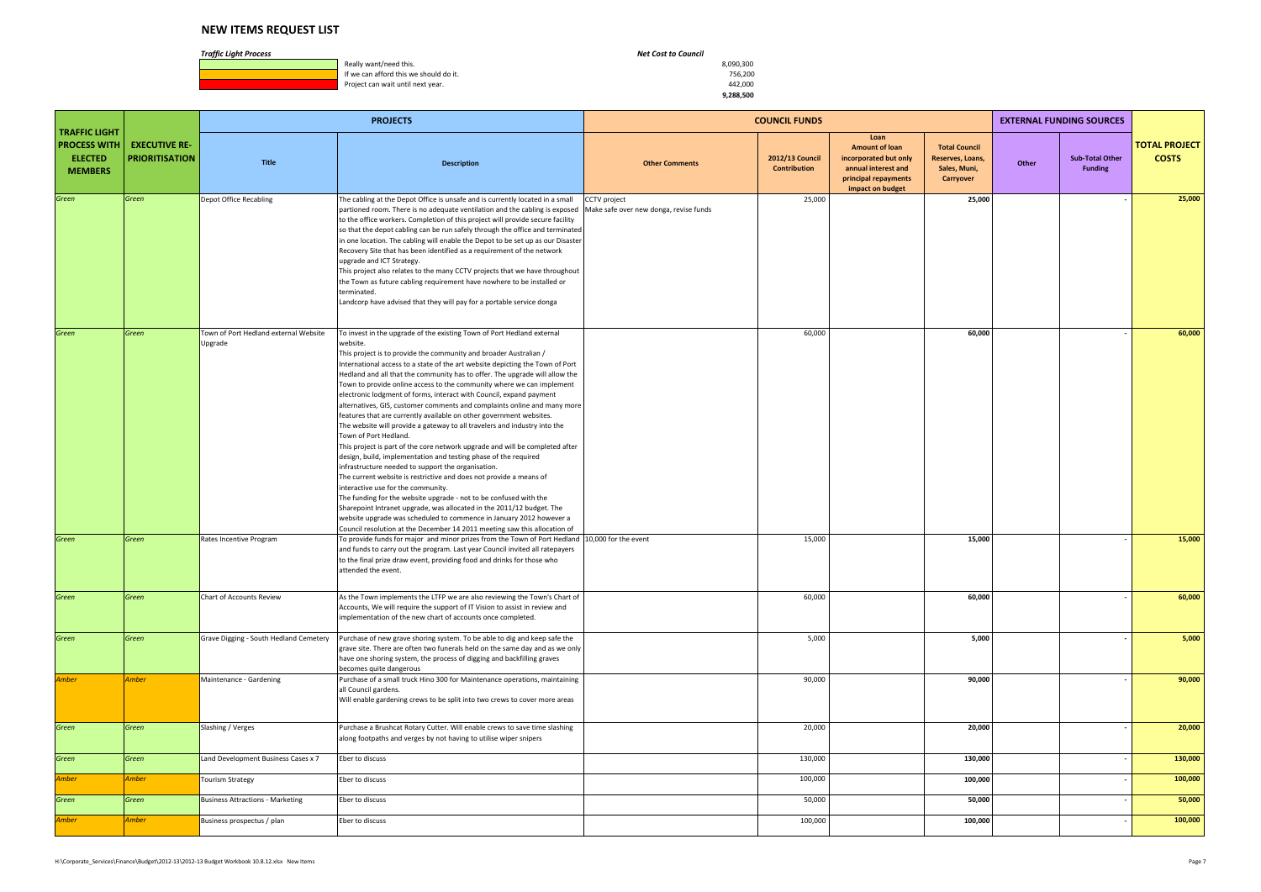**1990, Really want/need this.** 8,090,300<br> **If we can afford this we should do it.** All the state of the state of the state of the state of the state of the state of the state of the state of the state of the state of the s If we can afford this we should do it. The state of the state of the state of the state of the state of the state of the state of the state of the state of the state of the state of the state of the state of the state of t Project can wait until next year.

|                                                                                 |                                               |                                                  | <b>PROJECTS</b>                                                                                                                                                                                                                                                                                                                                                                                                                                                                                                                                                                                                                                                                                                                                                                                                                                                                                                                                                                                                                                                                                                                                                                                                                                                                                                                                         | <b>COUNCIL FUNDS</b><br>Loan                           |                                        |                                                                                                                   |                                                                       |       | <b>EXTERNAL FUNDING SOURCES</b>          |                                      |
|---------------------------------------------------------------------------------|-----------------------------------------------|--------------------------------------------------|---------------------------------------------------------------------------------------------------------------------------------------------------------------------------------------------------------------------------------------------------------------------------------------------------------------------------------------------------------------------------------------------------------------------------------------------------------------------------------------------------------------------------------------------------------------------------------------------------------------------------------------------------------------------------------------------------------------------------------------------------------------------------------------------------------------------------------------------------------------------------------------------------------------------------------------------------------------------------------------------------------------------------------------------------------------------------------------------------------------------------------------------------------------------------------------------------------------------------------------------------------------------------------------------------------------------------------------------------------|--------------------------------------------------------|----------------------------------------|-------------------------------------------------------------------------------------------------------------------|-----------------------------------------------------------------------|-------|------------------------------------------|--------------------------------------|
| <b>TRAFFIC LIGHT</b><br><b>PROCESS WITH</b><br><b>ELECTED</b><br><b>MEMBERS</b> | <b>EXECUTIVE RE-</b><br><b>PRIORITISATION</b> | <b>Title</b>                                     | <b>Description</b>                                                                                                                                                                                                                                                                                                                                                                                                                                                                                                                                                                                                                                                                                                                                                                                                                                                                                                                                                                                                                                                                                                                                                                                                                                                                                                                                      | <b>Other Comments</b>                                  | 2012/13 Council<br><b>Contribution</b> | <b>Amount of loan</b><br>incorporated but only<br>annual interest and<br>principal repayments<br>impact on budget | <b>Total Council</b><br>Reserves, Loans,<br>Sales, Muni,<br>Carryover | Other | <b>Sub-Total Other</b><br><b>Funding</b> | <b>TOTAL PROJECT</b><br><b>COSTS</b> |
| Green                                                                           | Green                                         | Depot Office Recabling                           | The cabling at the Depot Office is unsafe and is currently located in a small<br>partioned room. There is no adequate ventilation and the cabling is exposed<br>to the office workers. Completion of this project will provide secure facility<br>so that the depot cabling can be run safely through the office and terminated<br>in one location. The cabling will enable the Depot to be set up as our Disaster<br>Recovery Site that has been identified as a requirement of the network<br>upgrade and ICT Strategy.<br>This project also relates to the many CCTV projects that we have throughout<br>the Town as future cabling requirement have nowhere to be installed or<br>terminated.<br>Landcorp have advised that they will pay for a portable service donga                                                                                                                                                                                                                                                                                                                                                                                                                                                                                                                                                                              | CCTV project<br>Make safe over new donga, revise funds | 25,000                                 |                                                                                                                   | 25,000                                                                |       |                                          | 25,000                               |
| Green                                                                           | Green                                         | Town of Port Hedland external Website<br>Upgrade | To invest in the upgrade of the existing Town of Port Hedland external<br>website.<br>This project is to provide the community and broader Australian /<br>International access to a state of the art website depicting the Town of Port<br>Hedland and all that the community has to offer. The upgrade will allow the<br>Town to provide online access to the community where we can implement<br>electronic lodgment of forms, interact with Council, expand payment<br>alternatives, GIS, customer comments and complaints online and many more<br>features that are currently available on other government websites.<br>The website will provide a gateway to all travelers and industry into the<br>Town of Port Hedland.<br>This project is part of the core network upgrade and will be completed after<br>design, build, implementation and testing phase of the required<br>infrastructure needed to support the organisation.<br>The current website is restrictive and does not provide a means of<br>interactive use for the community.<br>The funding for the website upgrade - not to be confused with the<br>Sharepoint Intranet upgrade, was allocated in the 2011/12 budget. The<br>website upgrade was scheduled to commence in January 2012 however a<br>Council resolution at the December 14 2011 meeting saw this allocation of |                                                        | 60,000                                 |                                                                                                                   | 60,000                                                                |       |                                          | 60,000                               |
| Green                                                                           | Green                                         | Rates Incentive Program                          | To provide funds for major and minor prizes from the Town of Port Hedland 10,000 for the event<br>and funds to carry out the program. Last year Council invited all ratepayers<br>to the final prize draw event, providing food and drinks for those who<br>attended the event.                                                                                                                                                                                                                                                                                                                                                                                                                                                                                                                                                                                                                                                                                                                                                                                                                                                                                                                                                                                                                                                                         |                                                        | 15,000                                 |                                                                                                                   | 15,000                                                                |       |                                          | 15,000                               |
| Green                                                                           | Green                                         | Chart of Accounts Review                         | As the Town implements the LTFP we are also reviewing the Town's Chart of<br>Accounts, We will require the support of IT Vision to assist in review and<br>implementation of the new chart of accounts once completed.                                                                                                                                                                                                                                                                                                                                                                                                                                                                                                                                                                                                                                                                                                                                                                                                                                                                                                                                                                                                                                                                                                                                  |                                                        | 60,000                                 |                                                                                                                   | 60,000                                                                |       |                                          | 60,000                               |
| Green                                                                           | Green                                         | Grave Digging - South Hedland Cemetery           | Purchase of new grave shoring system. To be able to dig and keep safe the<br>grave site. There are often two funerals held on the same day and as we only<br>have one shoring system, the process of digging and backfilling graves<br>becomes quite dangerous                                                                                                                                                                                                                                                                                                                                                                                                                                                                                                                                                                                                                                                                                                                                                                                                                                                                                                                                                                                                                                                                                          |                                                        | 5,000                                  |                                                                                                                   | 5,000                                                                 |       |                                          | 5,000                                |
| <b>Amber</b>                                                                    | Amber                                         | Maintenance - Gardening                          | Purchase of a small truck Hino 300 for Maintenance operations, maintaining<br>all Council gardens.<br>Will enable gardening crews to be split into two crews to cover more areas                                                                                                                                                                                                                                                                                                                                                                                                                                                                                                                                                                                                                                                                                                                                                                                                                                                                                                                                                                                                                                                                                                                                                                        |                                                        | 90,000                                 |                                                                                                                   | 90,000                                                                |       |                                          | 90,000                               |
| Green                                                                           | Green                                         | Slashing / Verges                                | Purchase a Brushcat Rotary Cutter. Will enable crews to save time slashing<br>along footpaths and verges by not having to utilise wiper snipers                                                                                                                                                                                                                                                                                                                                                                                                                                                                                                                                                                                                                                                                                                                                                                                                                                                                                                                                                                                                                                                                                                                                                                                                         |                                                        | 20,000                                 |                                                                                                                   | 20,000                                                                |       |                                          | 20,000                               |
| Green                                                                           | Green                                         | Land Development Business Cases x 7              | Eber to discuss                                                                                                                                                                                                                                                                                                                                                                                                                                                                                                                                                                                                                                                                                                                                                                                                                                                                                                                                                                                                                                                                                                                                                                                                                                                                                                                                         |                                                        | 130,000                                |                                                                                                                   | 130,000                                                               |       |                                          | 130,000                              |
| Amber                                                                           | Amber                                         | <b>Tourism Strategy</b>                          | Eber to discuss                                                                                                                                                                                                                                                                                                                                                                                                                                                                                                                                                                                                                                                                                                                                                                                                                                                                                                                                                                                                                                                                                                                                                                                                                                                                                                                                         |                                                        | 100,000                                |                                                                                                                   | 100,000                                                               |       |                                          | 100,000                              |
| Green                                                                           | Green                                         | <b>Business Attractions - Marketing</b>          | Eber to discuss                                                                                                                                                                                                                                                                                                                                                                                                                                                                                                                                                                                                                                                                                                                                                                                                                                                                                                                                                                                                                                                                                                                                                                                                                                                                                                                                         |                                                        | 50,000                                 |                                                                                                                   | 50,000                                                                |       |                                          | 50,000                               |
| <b>Amber</b>                                                                    | Amber                                         | Business prospectus / plan                       | Eber to discuss                                                                                                                                                                                                                                                                                                                                                                                                                                                                                                                                                                                                                                                                                                                                                                                                                                                                                                                                                                                                                                                                                                                                                                                                                                                                                                                                         |                                                        | 100,000                                |                                                                                                                   | 100,000                                                               |       |                                          | 100,000                              |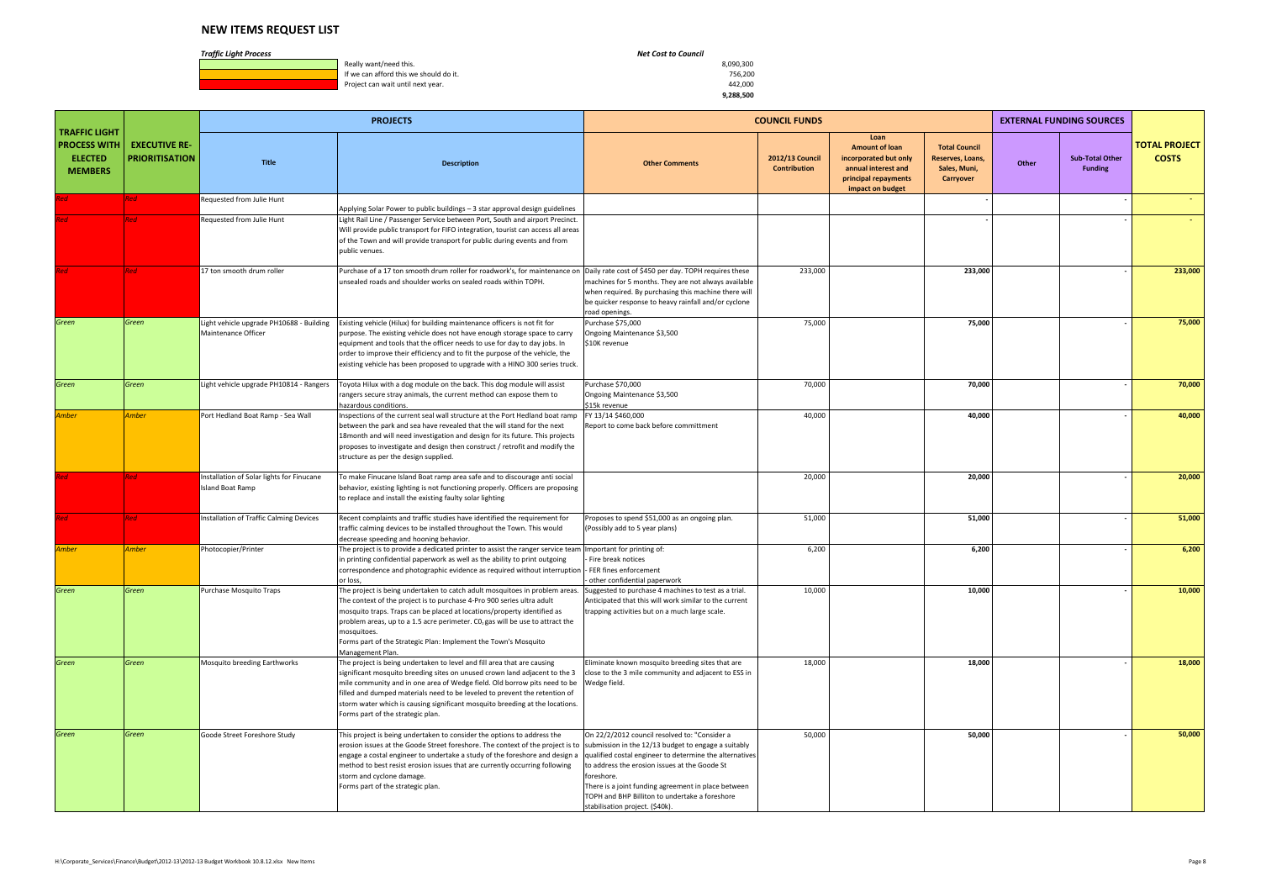**1990, Really want/need this.** 8,090,300<br> **If we can afford this we should do it.** All the state of the state of the state of the state of the state of the state of the state of the state of the state of the state of the s If we can afford this we should do it. The state of the state of the state of the state of the state of the state of the state of the state of the state of the state of the state of the state of the state of the state of t Project can wait until next year.

|                                                                                 |                                               |                                                                 | <b>PROJECTS</b>                                                                                                                                                                                                                                                                                                                                                                                                                       |                                                                                                                                                                                                                                                                                                                                                                            | <b>COUNCIL FUNDS</b>            |                                                                                                                           |                                                                       |       | <b>EXTERNAL FUNDING SOURCES</b>          |                                      |
|---------------------------------------------------------------------------------|-----------------------------------------------|-----------------------------------------------------------------|---------------------------------------------------------------------------------------------------------------------------------------------------------------------------------------------------------------------------------------------------------------------------------------------------------------------------------------------------------------------------------------------------------------------------------------|----------------------------------------------------------------------------------------------------------------------------------------------------------------------------------------------------------------------------------------------------------------------------------------------------------------------------------------------------------------------------|---------------------------------|---------------------------------------------------------------------------------------------------------------------------|-----------------------------------------------------------------------|-------|------------------------------------------|--------------------------------------|
| <b>TRAFFIC LIGHT</b><br><b>PROCESS WITH</b><br><b>ELECTED</b><br><b>MEMBERS</b> | <b>EXECUTIVE RE-</b><br><b>PRIORITISATION</b> | <b>Title</b>                                                    | <b>Description</b>                                                                                                                                                                                                                                                                                                                                                                                                                    | <b>Other Comments</b>                                                                                                                                                                                                                                                                                                                                                      | 2012/13 Council<br>Contribution | Loan<br><b>Amount of loan</b><br>incorporated but only<br>annual interest and<br>principal repayments<br>impact on budget | <b>Total Council</b><br>Reserves, Loans,<br>Sales, Muni,<br>Carryover | Other | <b>Sub-Total Other</b><br><b>Funding</b> | <b>TOTAL PROJECT</b><br><b>COSTS</b> |
| Red                                                                             | Red                                           | Requested from Julie Hunt                                       | Applying Solar Power to public buildings - 3 star approval design guidelines                                                                                                                                                                                                                                                                                                                                                          |                                                                                                                                                                                                                                                                                                                                                                            |                                 |                                                                                                                           |                                                                       |       |                                          |                                      |
| led -                                                                           | <b>Red</b>                                    | Requested from Julie Hunt                                       | Light Rail Line / Passenger Service between Port, South and airport Precinct.<br>Will provide public transport for FIFO integration, tourist can access all areas<br>of the Town and will provide transport for public during events and from<br>public venues.                                                                                                                                                                       |                                                                                                                                                                                                                                                                                                                                                                            |                                 |                                                                                                                           |                                                                       |       |                                          |                                      |
| 'ed-                                                                            | Red                                           | 17 ton smooth drum roller                                       | Purchase of a 17 ton smooth drum roller for roadwork's, for maintenance on<br>unsealed roads and shoulder works on sealed roads within TOPH.                                                                                                                                                                                                                                                                                          | Daily rate cost of \$450 per day. TOPH requires these<br>machines for 5 months. They are not always available<br>when required. By purchasing this machine there will<br>be quicker response to heavy rainfall and/or cyclone<br>road openings.                                                                                                                            | 233,000                         |                                                                                                                           | 233,000                                                               |       |                                          | 233,000                              |
| Green                                                                           | Green                                         | Light vehicle upgrade PH10688 - Building<br>Maintenance Officer | Existing vehicle (Hilux) for building maintenance officers is not fit for<br>purpose. The existing vehicle does not have enough storage space to carry<br>equipment and tools that the officer needs to use for day to day jobs. In<br>order to improve their efficiency and to fit the purpose of the vehicle, the<br>existing vehicle has been proposed to upgrade with a HINO 300 series truck.                                    | Purchase \$75,000<br>Ongoing Maintenance \$3,500<br>\$10K revenue                                                                                                                                                                                                                                                                                                          | 75,000                          |                                                                                                                           | 75,000                                                                |       |                                          | 75,000                               |
| Green                                                                           | Green                                         | Light vehicle upgrade PH10814 - Rangers                         | Toyota Hilux with a dog module on the back. This dog module will assist<br>rangers secure stray animals, the current method can expose them to<br>hazardous conditions.                                                                                                                                                                                                                                                               | Purchase \$70,000<br>Ongoing Maintenance \$3,500<br>\$15k revenue                                                                                                                                                                                                                                                                                                          | 70,000                          |                                                                                                                           | 70,000                                                                |       |                                          | 70,000                               |
| <b>Amber</b>                                                                    | Amber                                         | Port Hedland Boat Ramp - Sea Wall                               | Inspections of the current seal wall structure at the Port Hedland boat ramp<br>between the park and sea have revealed that the will stand for the next<br>18 month and will need investigation and design for its future. This projects<br>proposes to investigate and design then construct / retrofit and modify the<br>structure as per the design supplied.                                                                      | FY 13/14 \$460,000<br>Report to come back before committment                                                                                                                                                                                                                                                                                                               | 40,000                          |                                                                                                                           | 40,000                                                                |       |                                          | 40,000                               |
|                                                                                 | Red                                           | Installation of Solar lights for Finucane<br>Island Boat Ramp   | To make Finucane Island Boat ramp area safe and to discourage anti social<br>behavior, existing lighting is not functioning properly. Officers are proposing<br>to replace and install the existing faulty solar lighting                                                                                                                                                                                                             |                                                                                                                                                                                                                                                                                                                                                                            | 20,000                          |                                                                                                                           | 20,000                                                                |       |                                          | 20,000                               |
| Red                                                                             | <b>Red</b>                                    | Installation of Traffic Calming Devices                         | Recent complaints and traffic studies have identified the requirement for<br>traffic calming devices to be installed throughout the Town. This would<br>decrease speeding and hooning behavior.                                                                                                                                                                                                                                       | Proposes to spend \$51,000 as an ongoing plan.<br>(Possibly add to 5 year plans)                                                                                                                                                                                                                                                                                           | 51,000                          |                                                                                                                           | 51,000                                                                |       |                                          | 51,000                               |
| <b>Amber</b>                                                                    | <b>Amber</b>                                  | Photocopier/Printer                                             | The project is to provide a dedicated printer to assist the ranger service team<br>in printing confidential paperwork as well as the ability to print outgoing<br>correspondence and photographic evidence as required without interruption<br>or loss,                                                                                                                                                                               | Important for printing of:<br>Fire break notices<br>FER fines enforcement<br>other confidential paperwork                                                                                                                                                                                                                                                                  | 6,200                           |                                                                                                                           | 6,200                                                                 |       |                                          | 6,200                                |
| Green                                                                           | Green                                         | Purchase Mosquito Traps                                         | The project is being undertaken to catch adult mosquitoes in problem areas.<br>The context of the project is to purchase 4-Pro 900 series ultra adult<br>mosquito traps. Traps can be placed at locations/property identified as<br>problem areas, up to a 1.5 acre perimeter. $CO2$ gas will be use to attract the<br>mosquitoes<br>Forms part of the Strategic Plan: Implement the Town's Mosquito<br>Management Plan.              | Suggested to purchase 4 machines to test as a trial.<br>Anticipated that this will work similar to the current<br>trapping activities but on a much large scale.                                                                                                                                                                                                           | 10,000                          |                                                                                                                           | 10,000                                                                |       |                                          | 10,000                               |
| Green                                                                           | Green                                         | Mosquito breeding Earthworks                                    | The project is being undertaken to level and fill area that are causing<br>significant mosquito breeding sites on unused crown land adjacent to the 3<br>mile community and in one area of Wedge field. Old borrow pits need to be<br>filled and dumped materials need to be leveled to prevent the retention of<br>storm water which is causing significant mosquito breeding at the locations.<br>Forms part of the strategic plan. | Eliminate known mosquito breeding sites that are<br>close to the 3 mile community and adjacent to ESS in<br>Wedge field.                                                                                                                                                                                                                                                   | 18,000                          |                                                                                                                           | 18,000                                                                |       |                                          | 18,000                               |
| Green                                                                           | Green                                         | Goode Street Foreshore Study                                    | This project is being undertaken to consider the options to address the<br>erosion issues at the Goode Street foreshore. The context of the project is to<br>engage a costal engineer to undertake a study of the foreshore and design a<br>method to best resist erosion issues that are currently occurring following<br>storm and cyclone damage.<br>Forms part of the strategic plan.                                             | On 22/2/2012 council resolved to: "Consider a<br>submission in the 12/13 budget to engage a suitably<br>qualified costal engineer to determine the alternatives<br>to address the erosion issues at the Goode St<br>foreshore.<br>There is a joint funding agreement in place between<br>TOPH and BHP Billiton to undertake a foreshore<br>stabilisation project. (\$40k). | 50,000                          |                                                                                                                           | 50,000                                                                |       |                                          | 50,000                               |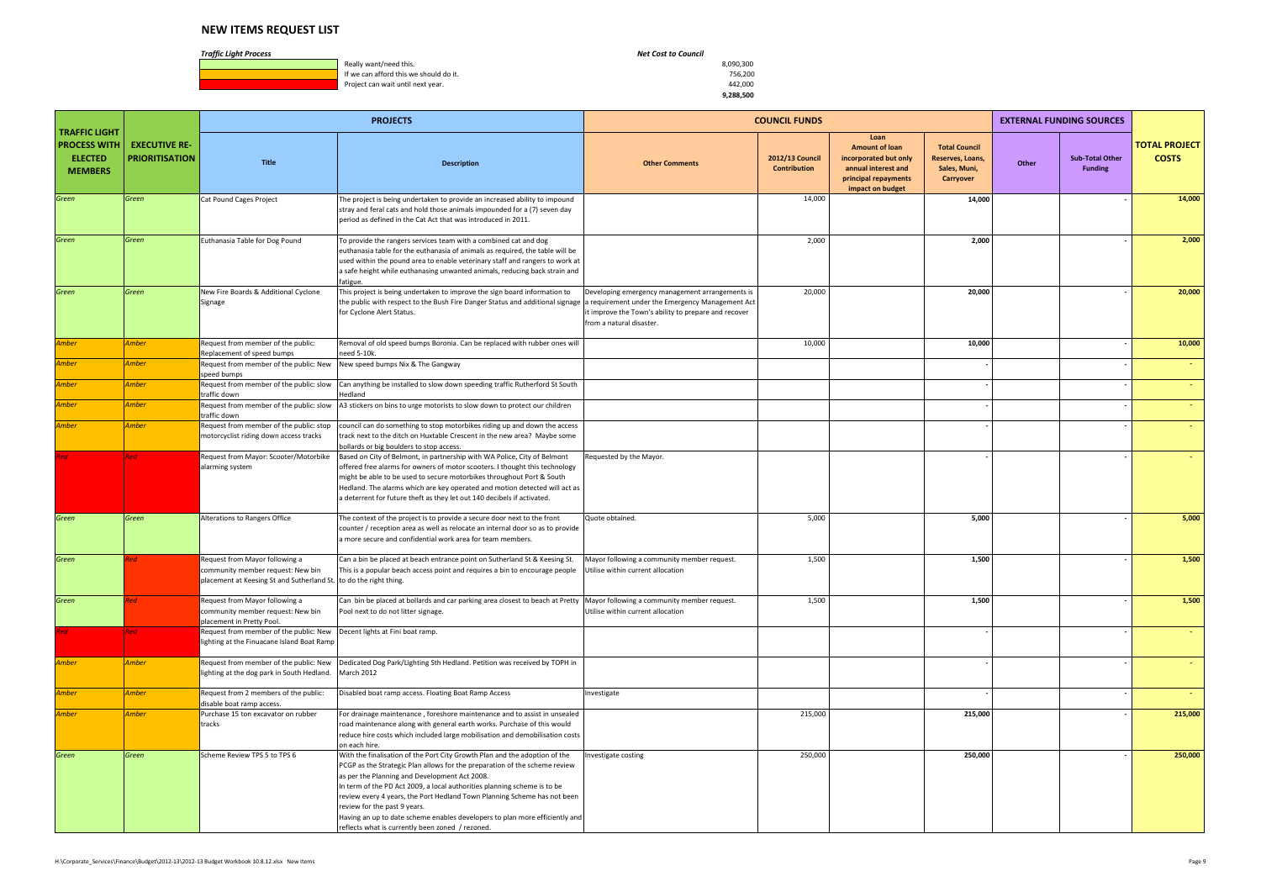**1990, Really want/need this.** 8,090,300<br> **If we can afford this we should do it.** All the state of the state of the state of the state of the state of the state of the state of the state of the state of the state of the s If we can afford this we should do it. The state of the state of the state of the state of the state of the state of the state of the state of the state of the state of the state of the state of the state of the state of t Project can wait until next year.

|                                                                                 |                                               |                                                                                                                                          | <b>PROJECTS</b>                                                                                                                                                                                                                                                                                                                                                                                                                                                                                                                      |                                                                                                                                                                                         | <b>COUNCIL FUNDS</b>                   |                                                                                                                           |                                                                       |       | <b>EXTERNAL FUNDING SOURCES</b>          |                                      |
|---------------------------------------------------------------------------------|-----------------------------------------------|------------------------------------------------------------------------------------------------------------------------------------------|--------------------------------------------------------------------------------------------------------------------------------------------------------------------------------------------------------------------------------------------------------------------------------------------------------------------------------------------------------------------------------------------------------------------------------------------------------------------------------------------------------------------------------------|-----------------------------------------------------------------------------------------------------------------------------------------------------------------------------------------|----------------------------------------|---------------------------------------------------------------------------------------------------------------------------|-----------------------------------------------------------------------|-------|------------------------------------------|--------------------------------------|
| <b>TRAFFIC LIGHT</b><br><b>PROCESS WITH</b><br><b>ELECTED</b><br><b>MEMBERS</b> | <b>EXECUTIVE RE-</b><br><b>PRIORITISATION</b> | <b>Title</b>                                                                                                                             | <b>Description</b>                                                                                                                                                                                                                                                                                                                                                                                                                                                                                                                   | <b>Other Comments</b>                                                                                                                                                                   | 2012/13 Council<br><b>Contribution</b> | Loan<br><b>Amount of loan</b><br>incorporated but only<br>annual interest and<br>principal repayments<br>impact on budget | <b>Total Council</b><br>Reserves, Loans,<br>Sales, Muni,<br>Carryover | Other | <b>Sub-Total Other</b><br><b>Funding</b> | <b>TOTAL PROJECT</b><br><b>COSTS</b> |
| Green                                                                           | Green                                         | Cat Pound Cages Project                                                                                                                  | The project is being undertaken to provide an increased ability to impound<br>stray and feral cats and hold those animals impounded for a (7) seven day<br>period as defined in the Cat Act that was introduced in 2011.                                                                                                                                                                                                                                                                                                             |                                                                                                                                                                                         | 14,000                                 |                                                                                                                           | 14,000                                                                |       |                                          | 14,000                               |
| Green                                                                           | Green                                         | Euthanasia Table for Dog Pound                                                                                                           | To provide the rangers services team with a combined cat and dog<br>euthanasia table for the euthanasia of animals as required, the table will be<br>used within the pound area to enable veterinary staff and rangers to work at<br>a safe height while euthanasing unwanted animals, reducing back strain and<br>fatigue.                                                                                                                                                                                                          |                                                                                                                                                                                         | 2,000                                  |                                                                                                                           | 2,000                                                                 |       |                                          | 2,000                                |
| Green                                                                           | Green                                         | New Fire Boards & Additional Cyclone<br>Signage                                                                                          | This project is being undertaken to improve the sign board information to<br>the public with respect to the Bush Fire Danger Status and additional signage<br>for Cyclone Alert Status.                                                                                                                                                                                                                                                                                                                                              | Developing emergency management arrangements is<br>a requirement under the Emergency Management Act<br>it improve the Town's ability to prepare and recover<br>from a natural disaster. | 20,000                                 |                                                                                                                           | 20,000                                                                |       |                                          | 20,000                               |
| <b>Amber</b>                                                                    | Amber                                         | Request from member of the public:                                                                                                       | Removal of old speed bumps Boronia. Can be replaced with rubber ones will                                                                                                                                                                                                                                                                                                                                                                                                                                                            |                                                                                                                                                                                         | 10,000                                 |                                                                                                                           | 10,000                                                                |       |                                          | 10,000                               |
| Amber                                                                           | Amber                                         | Replacement of speed bumps<br>Request from member of the public: New<br>speed bumps                                                      | need 5-10k.<br>New speed bumps Nix & The Gangway                                                                                                                                                                                                                                                                                                                                                                                                                                                                                     |                                                                                                                                                                                         |                                        |                                                                                                                           |                                                                       |       |                                          | $\sim$                               |
| Amber                                                                           | Amber                                         | Request from member of the public: slow<br>traffic down                                                                                  | Can anything be installed to slow down speeding traffic Rutherford St South<br>Hedland                                                                                                                                                                                                                                                                                                                                                                                                                                               |                                                                                                                                                                                         |                                        |                                                                                                                           |                                                                       |       |                                          | $\sim$                               |
| Amber                                                                           | Amber                                         | Request from member of the public: slow<br>traffic down                                                                                  | A3 stickers on bins to urge motorists to slow down to protect our children                                                                                                                                                                                                                                                                                                                                                                                                                                                           |                                                                                                                                                                                         |                                        |                                                                                                                           |                                                                       |       |                                          |                                      |
| <b>Amber</b>                                                                    | Amber                                         | Request from member of the public: stop<br>motorcyclist riding down access tracks                                                        | council can do something to stop motorbikes riding up and down the access<br>track next to the ditch on Huxtable Crescent in the new area? Maybe some<br>bollards or big boulders to stop access.                                                                                                                                                                                                                                                                                                                                    |                                                                                                                                                                                         |                                        |                                                                                                                           |                                                                       |       |                                          |                                      |
| Red                                                                             | <b>Red</b>                                    | Request from Mayor: Scooter/Motorbike<br>alarming system                                                                                 | Based on City of Belmont, in partnership with WA Police, City of Belmont<br>offered free alarms for owners of motor scooters. I thought this technology<br>might be able to be used to secure motorbikes throughout Port & South<br>Hedland. The alarms which are key operated and motion detected will act as<br>a deterrent for future theft as they let out 140 decibels if activated.                                                                                                                                            | Requested by the Mayor.                                                                                                                                                                 |                                        |                                                                                                                           |                                                                       |       |                                          |                                      |
| Green                                                                           | Green                                         | Alterations to Rangers Office                                                                                                            | The context of the project is to provide a secure door next to the front<br>counter / reception area as well as relocate an internal door so as to provide<br>a more secure and confidential work area for team members.                                                                                                                                                                                                                                                                                                             | Quote obtained.                                                                                                                                                                         | 5,000                                  |                                                                                                                           | 5,000                                                                 |       |                                          | 5,000                                |
| Green                                                                           |                                               | Request from Mayor following a<br>community member request: New bin<br>placement at Keesing St and Sutherland St. to do the right thing. | Can a bin be placed at beach entrance point on Sutherland St & Keesing St.<br>This is a popular beach access point and requires a bin to encourage people                                                                                                                                                                                                                                                                                                                                                                            | Mayor following a community member request.<br>Utilise within current allocation                                                                                                        | 1,500                                  |                                                                                                                           | 1,500                                                                 |       |                                          | 1,500                                |
| Green                                                                           |                                               | Request from Mayor following a<br>community member request: New bin<br>placement in Pretty Pool.                                         | Can bin be placed at bollards and car parking area closest to beach at Pretty Mayor following a community member request.<br>Pool next to do not litter signage.                                                                                                                                                                                                                                                                                                                                                                     | Utilise within current allocation                                                                                                                                                       | 1,500                                  |                                                                                                                           | 1,500                                                                 |       |                                          | 1,500                                |
| Red                                                                             | Red                                           | Request from member of the public: New<br>lighting at the Finuacane Island Boat Ramp                                                     | Decent lights at Fini boat ramp.                                                                                                                                                                                                                                                                                                                                                                                                                                                                                                     |                                                                                                                                                                                         |                                        |                                                                                                                           |                                                                       |       |                                          | $\sim$                               |
| <b>Amber</b>                                                                    | <b>Amber</b>                                  | Request from member of the public: New<br>lighting at the dog park in South Hedland.                                                     | Dedicated Dog Park/Lighting Sth Hedland. Petition was received by TOPH in<br>March 2012                                                                                                                                                                                                                                                                                                                                                                                                                                              |                                                                                                                                                                                         |                                        |                                                                                                                           |                                                                       |       |                                          | $\sim$                               |
| Amber                                                                           | Amber                                         | Request from 2 members of the public:<br>disable boat ramp access.                                                                       | Disabled boat ramp access. Floating Boat Ramp Access                                                                                                                                                                                                                                                                                                                                                                                                                                                                                 | Investigate                                                                                                                                                                             |                                        |                                                                                                                           |                                                                       |       |                                          | $\sim$                               |
| Amber                                                                           | Amber                                         | Purchase 15 ton excavator on rubber<br>tracks                                                                                            | For drainage maintenance, foreshore maintenance and to assist in unsealed<br>road maintenance along with general earth works. Purchase of this would<br>reduce hire costs which included large mobilisation and demobilisation costs<br>on each hire.                                                                                                                                                                                                                                                                                |                                                                                                                                                                                         | 215,000                                |                                                                                                                           | 215,000                                                               |       |                                          | 215,000                              |
| Green                                                                           | Green                                         | Scheme Review TPS 5 to TPS 6                                                                                                             | With the finalisation of the Port City Growth Plan and the adoption of the<br>PCGP as the Strategic Plan allows for the preparation of the scheme review<br>as per the Planning and Development Act 2008.<br>In term of the PD Act 2009, a local authorities planning scheme is to be<br>review every 4 years, the Port Hedland Town Planning Scheme has not been<br>review for the past 9 years.<br>Having an up to date scheme enables developers to plan more efficiently and<br>reflects what is currently been zoned / rezoned. | Investigate costing                                                                                                                                                                     | 250,000                                |                                                                                                                           | 250,000                                                               |       |                                          | 250,000                              |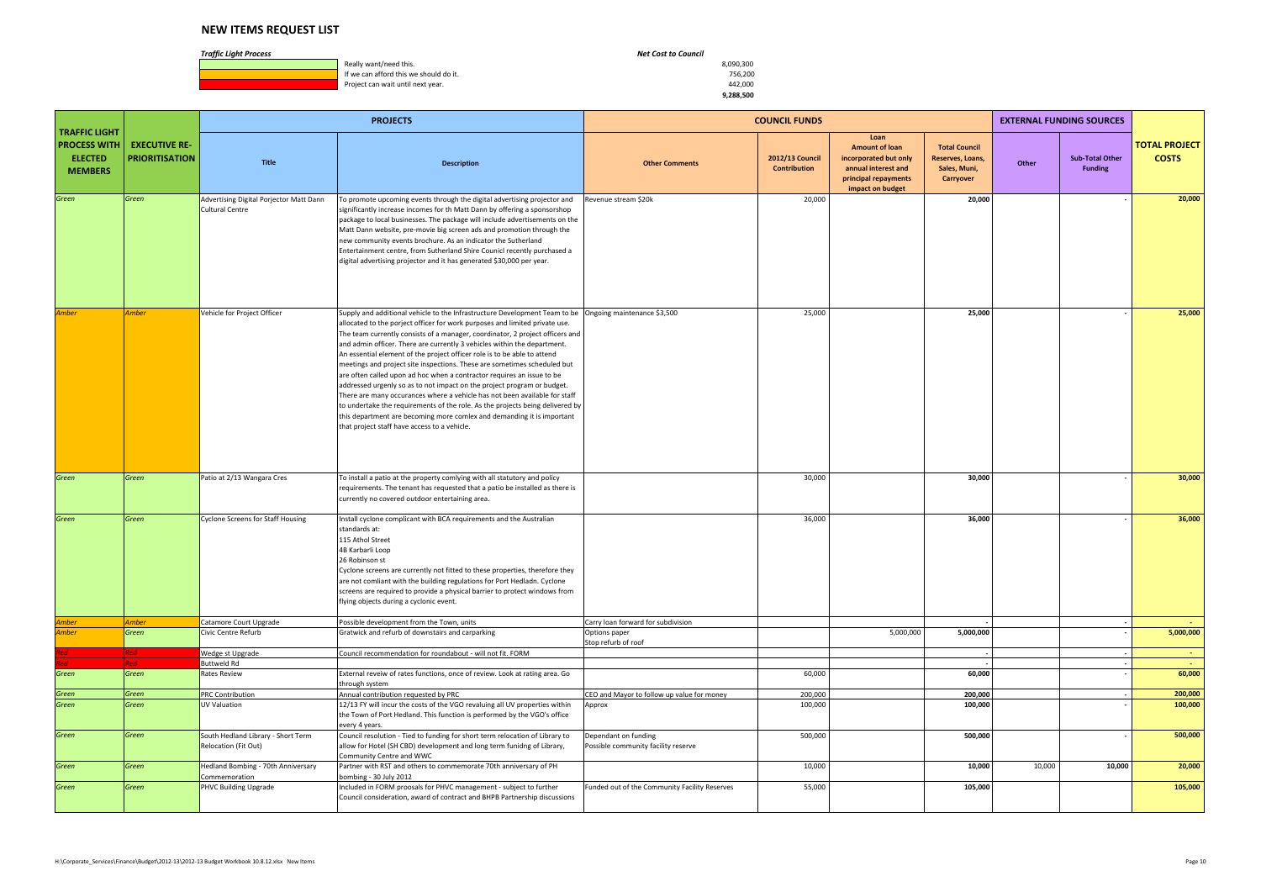**1990, Really want/need this.** 8,090,300<br> **If we can afford this we should do it.** All the state of the state of the state of the state of the state of the state of the state of the state of the state of the state of the s If we can afford this we should do it. The state of the state of the state of the state of the state of the state of the state of the state of the state of the state of the state of the state of the state of the state of t Project can wait until next year.

|                                                                                 |                                               |                                                                   | <b>PROJECTS</b>                                                                                                                                                                                                                                                                                                                                                                                                                                                                                                                                                                                                                                                                                                                                                                                                                                                                                                                                            |                                                             | <b>COUNCIL FUNDS</b>            |                                                                                                                           |                                                                       | <b>EXTERNAL FUNDING SOURCES</b>                   |                                      |
|---------------------------------------------------------------------------------|-----------------------------------------------|-------------------------------------------------------------------|------------------------------------------------------------------------------------------------------------------------------------------------------------------------------------------------------------------------------------------------------------------------------------------------------------------------------------------------------------------------------------------------------------------------------------------------------------------------------------------------------------------------------------------------------------------------------------------------------------------------------------------------------------------------------------------------------------------------------------------------------------------------------------------------------------------------------------------------------------------------------------------------------------------------------------------------------------|-------------------------------------------------------------|---------------------------------|---------------------------------------------------------------------------------------------------------------------------|-----------------------------------------------------------------------|---------------------------------------------------|--------------------------------------|
| <b>TRAFFIC LIGHT</b><br><b>PROCESS WITH</b><br><b>ELECTED</b><br><b>MEMBERS</b> | <b>EXECUTIVE RE-</b><br><b>PRIORITISATION</b> | <b>Title</b>                                                      | <b>Description</b>                                                                                                                                                                                                                                                                                                                                                                                                                                                                                                                                                                                                                                                                                                                                                                                                                                                                                                                                         | <b>Other Comments</b>                                       | 2012/13 Council<br>Contribution | Loan<br><b>Amount of loan</b><br>incorporated but only<br>annual interest and<br>principal repayments<br>impact on budget | <b>Total Council</b><br>Reserves, Loans,<br>Sales, Muni,<br>Carryover | <b>Sub-Total Other</b><br>Other<br><b>Funding</b> | <b>TOTAL PROJECT</b><br><b>COSTS</b> |
| Green                                                                           | Green                                         | Advertising Digital Porjector Matt Dann<br><b>Cultural Centre</b> | To promote upcoming events through the digital advertising projector and<br>significantly increase incomes for th Matt Dann by offering a sponsorshop<br>package to local businesses. The package will include advertisements on the<br>Matt Dann website, pre-movie big screen ads and promotion through the<br>new community events brochure. As an indicator the Sutherland<br>Entertainment centre, from Sutherland Shire Counicl recently purchased a<br>digital advertising projector and it has generated \$30,000 per year.                                                                                                                                                                                                                                                                                                                                                                                                                        | Revenue stream \$20k                                        | 20,000                          |                                                                                                                           | 20,000                                                                |                                                   | 20,000                               |
| <b>Amber</b>                                                                    | <b>Amber</b>                                  | Vehicle for Project Officer                                       | Supply and additional vehicle to the Infrastructure Development Team to be   Ongoing maintenance \$3,500<br>allocated to the porject officer for work purposes and limited private use.<br>The team currently consists of a manager, coordinator, 2 project officers and<br>and admin officer. There are currently 3 vehicles within the department.<br>An essential element of the project officer role is to be able to attend<br>meetings and project site inspections. These are sometimes scheduled but<br>are often called upon ad hoc when a contractor requires an issue to be<br>addressed urgenly so as to not impact on the project program or budget.<br>There are many occurances where a vehicle has not been available for staff<br>to undertake the requirements of the role. As the projects being delivered by<br>this department are becoming more comlex and demanding it is important<br>that project staff have access to a vehicle. |                                                             | 25,000                          |                                                                                                                           | 25,000                                                                |                                                   | 25,000                               |
| Green                                                                           | Green                                         | Patio at 2/13 Wangara Cres                                        | To install a patio at the property comlying with all statutory and policy<br>requirements. The tenant has requested that a patio be installed as there is<br>currently no covered outdoor entertaining area.                                                                                                                                                                                                                                                                                                                                                                                                                                                                                                                                                                                                                                                                                                                                               |                                                             | 30,000                          |                                                                                                                           | 30,000                                                                |                                                   | 30,000                               |
| Green                                                                           | Green                                         | <b>Cyclone Screens for Staff Housing</b>                          | Install cyclone complicant with BCA requirements and the Australian<br>standards at:<br>115 Athol Street<br>4B Karbarli Loop<br>26 Robinson st<br>Cyclone screens are currently not fitted to these properties, therefore they<br>are not comliant with the building regulations for Port Hedladn. Cyclone<br>screens are required to provide a physical barrier to protect windows from<br>flying objects during a cyclonic event.                                                                                                                                                                                                                                                                                                                                                                                                                                                                                                                        |                                                             | 36,000                          |                                                                                                                           | 36,000                                                                |                                                   | 36,000                               |
| Amber<br>Amber                                                                  | <b>Amber</b><br>Green                         | Catamore Court Upgrade<br>Civic Centre Refurb                     | Possible development from the Town, units<br>Gratwick and refurb of downstairs and carparking                                                                                                                                                                                                                                                                                                                                                                                                                                                                                                                                                                                                                                                                                                                                                                                                                                                              | Carry loan forward for subdivision<br>Options paper         |                                 | 5,000,000                                                                                                                 | 5,000,000                                                             |                                                   | <b>Section</b><br>5,000,000          |
|                                                                                 |                                               |                                                                   |                                                                                                                                                                                                                                                                                                                                                                                                                                                                                                                                                                                                                                                                                                                                                                                                                                                                                                                                                            | Stop refurb of roof                                         |                                 |                                                                                                                           |                                                                       |                                                   |                                      |
| Red<br>ed                                                                       | Red<br>Red I                                  | Wedge st Upgrade<br>Buttweld Rd                                   | Council recommendation for roundabout - will not fit. FORM                                                                                                                                                                                                                                                                                                                                                                                                                                                                                                                                                                                                                                                                                                                                                                                                                                                                                                 |                                                             |                                 |                                                                                                                           |                                                                       |                                                   | <b>Contract</b><br>$\sim$ $-$        |
| Green                                                                           | Green                                         | Rates Review                                                      | External reveiw of rates functions, once of review. Look at rating area. Go<br>through system                                                                                                                                                                                                                                                                                                                                                                                                                                                                                                                                                                                                                                                                                                                                                                                                                                                              |                                                             | 60,000                          |                                                                                                                           | 60,000                                                                |                                                   | 60,000                               |
| Green                                                                           | Green                                         | PRC Contribution                                                  | Annual contribution requested by PRC                                                                                                                                                                                                                                                                                                                                                                                                                                                                                                                                                                                                                                                                                                                                                                                                                                                                                                                       | CEO and Mayor to follow up value for money                  | 200,000                         |                                                                                                                           | 200,000                                                               |                                                   | 200,000                              |
| Green                                                                           | Green                                         | UV Valuation                                                      | 12/13 FY will incur the costs of the VGO revaluing all UV properties within<br>the Town of Port Hedland. This function is performed by the VGO's office<br>every 4 years.                                                                                                                                                                                                                                                                                                                                                                                                                                                                                                                                                                                                                                                                                                                                                                                  | Approx                                                      | 100,000                         |                                                                                                                           | 100,000                                                               |                                                   | 100,000                              |
| Green                                                                           | Green                                         | South Hedland Library - Short Term<br>Relocation (Fit Out)        | Council resolution - Tied to funding for short term relocation of Library to<br>allow for Hotel (SH CBD) development and long term funidng of Library,<br>Community Centre and WWC                                                                                                                                                                                                                                                                                                                                                                                                                                                                                                                                                                                                                                                                                                                                                                         | Dependant on funding<br>Possible community facility reserve | 500,000                         |                                                                                                                           | 500,000                                                               |                                                   | 500,000                              |
| Green                                                                           | Green                                         | Hedland Bombing - 70th Anniversary<br>Commemoration               | Partner with RST and others to commemorate 70th anniversary of PH<br>bombing - 30 July 2012                                                                                                                                                                                                                                                                                                                                                                                                                                                                                                                                                                                                                                                                                                                                                                                                                                                                |                                                             | 10,000                          |                                                                                                                           | 10,000                                                                | 10,000                                            | 10,000<br>20,000                     |
| Green                                                                           | Green                                         | PHVC Building Upgrade                                             | Included in FORM proosals for PHVC management - subject to further<br>Council consideration, award of contract and BHPB Partnership discussions                                                                                                                                                                                                                                                                                                                                                                                                                                                                                                                                                                                                                                                                                                                                                                                                            | Funded out of the Community Facility Reserves               | 55,000                          |                                                                                                                           | 105,000                                                               |                                                   | 105,000                              |